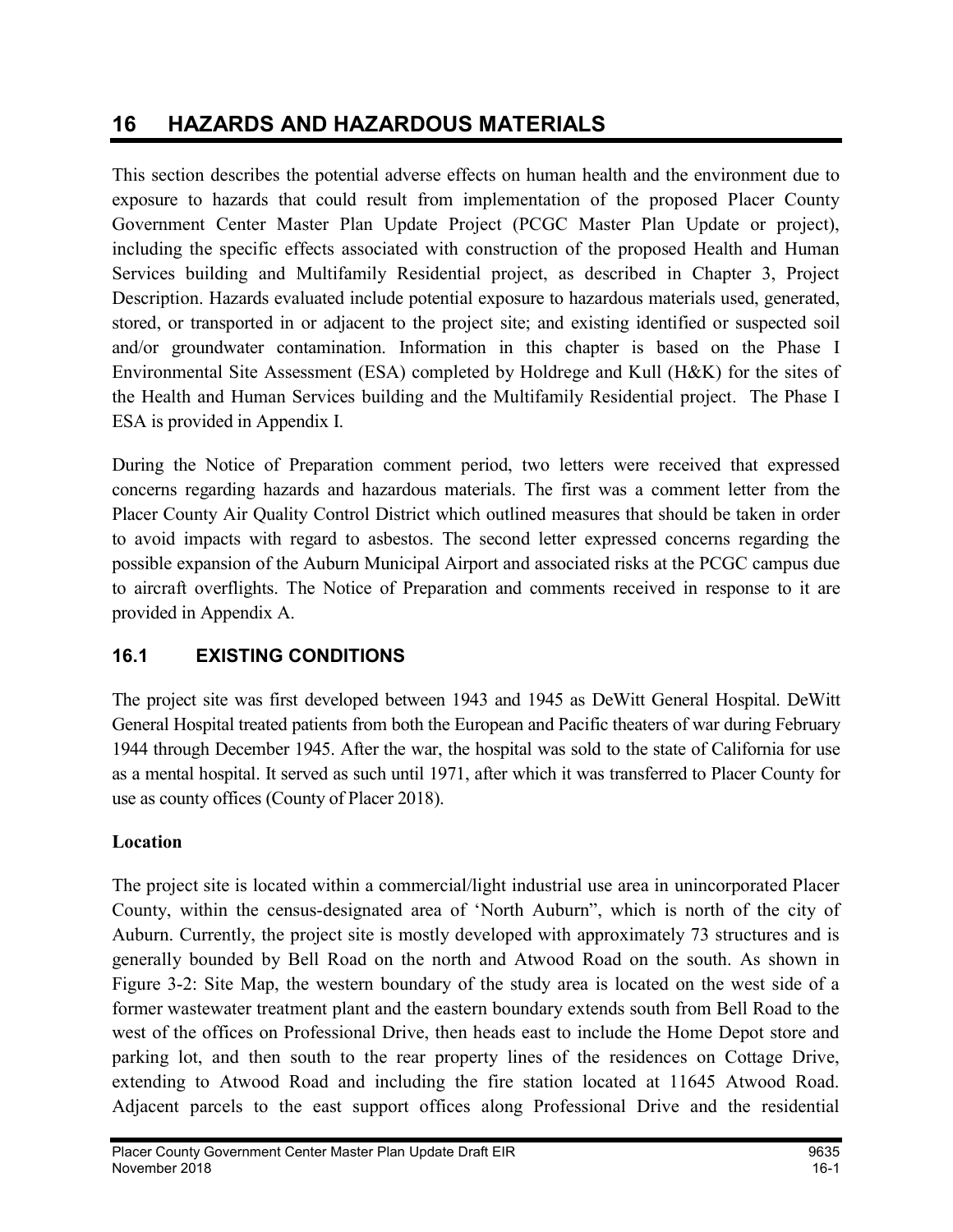# 16 HAZARDS AND HAZARDOUS MATERIALS

This section describes the potential adverse effects on human health and the environment due to exposure to hazards that could result from implementation of the proposed Placer County Government Center Master Plan Update Project (PCGC Master Plan Update or project), including the specific effects associated with construction of the proposed Health and Human Services building and Multifamily Residential project, as described in Chapter 3, Project Description. Hazards evaluated include potential exposure to hazardous materials used, generated, stored, or transported in or adjacent to the project site; and existing identified or suspected soil and/or groundwater contamination. Information in this chapter is based on the Phase I Environmental Site Assessment (ESA) completed by Holdrege and Kull (H&K) for the sites of the Health and Human Services building and the Multifamily Residential project. The Phase I ESA is provided in Appendix I.

During the Notice of Preparation comment period, two letters were received that expressed concerns regarding hazards and hazardous materials. The first was a comment letter from the Placer County Air Quality Control District which outlined measures that should be taken in order to avoid impacts with regard to asbestos. The second letter expressed concerns regarding the possible expansion of the Auburn Municipal Airport and associated risks at the PCGC campus due to aircraft overflights. The Notice of Preparation and comments received in response to it are provided in Appendix A.

## 16.1 EXISTING CONDITIONS

The project site was first developed between 1943 and 1945 as DeWitt General Hospital. DeWitt General Hospital treated patients from both the European and Pacific theaters of war during February 1944 through December 1945. After the war, the hospital was sold to the state of California for use as a mental hospital. It served as such until 1971, after which it was transferred to Placer County for use as county offices (County of Placer 2018).

## Location

The project site is located within a commercial/light industrial use area in unincorporated Placer County, within the census-designated area of 'North Auburn", which is north of the city of Auburn. Currently, the project site is mostly developed with approximately 73 structures and is generally bounded by Bell Road on the north and Atwood Road on the south. As shown in Figure 3-2: Site Map, the western boundary of the study area is located on the west side of a former wastewater treatment plant and the eastern boundary extends south from Bell Road to the west of the offices on Professional Drive, then heads east to include the Home Depot store and parking lot, and then south to the rear property lines of the residences on Cottage Drive, extending to Atwood Road and including the fire station located at 11645 Atwood Road. Adjacent parcels to the east support offices along Professional Drive and the residential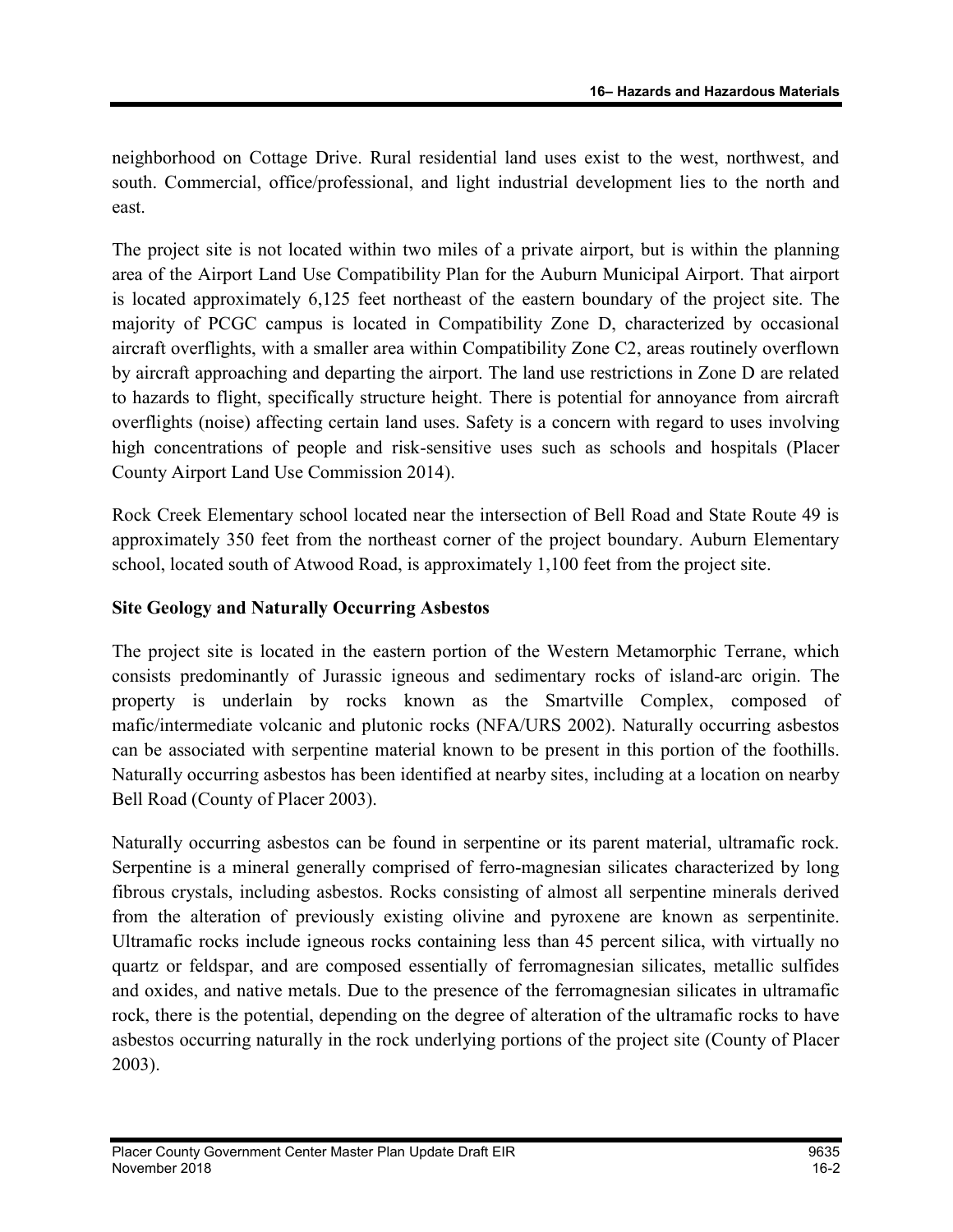neighborhood on Cottage Drive. Rural residential land uses exist to the west, northwest, and south. Commercial, office/professional, and light industrial development lies to the north and east.

The project site is not located within two miles of a private airport, but is within the planning area of the Airport Land Use Compatibility Plan for the Auburn Municipal Airport. That airport is located approximately 6,125 feet northeast of the eastern boundary of the project site. The majority of PCGC campus is located in Compatibility Zone D, characterized by occasional aircraft overflights, with a smaller area within Compatibility Zone C2, areas routinely overflown by aircraft approaching and departing the airport. The land use restrictions in Zone D are related to hazards to flight, specifically structure height. There is potential for annoyance from aircraft overflights (noise) affecting certain land uses. Safety is a concern with regard to uses involving high concentrations of people and risk-sensitive uses such as schools and hospitals (Placer County Airport Land Use Commission 2014).

Rock Creek Elementary school located near the intersection of Bell Road and State Route 49 is approximately 350 feet from the northeast corner of the project boundary. Auburn Elementary school, located south of Atwood Road, is approximately 1,100 feet from the project site.

#### Site Geology and Naturally Occurring Asbestos

The project site is located in the eastern portion of the Western Metamorphic Terrane, which consists predominantly of Jurassic igneous and sedimentary rocks of island-arc origin. The property is underlain by rocks known as the Smartville Complex, composed of mafic/intermediate volcanic and plutonic rocks (NFA/URS 2002). Naturally occurring asbestos can be associated with serpentine material known to be present in this portion of the foothills. Naturally occurring asbestos has been identified at nearby sites, including at a location on nearby Bell Road (County of Placer 2003).

Naturally occurring asbestos can be found in serpentine or its parent material, ultramafic rock. Serpentine is a mineral generally comprised of ferro-magnesian silicates characterized by long fibrous crystals, including asbestos. Rocks consisting of almost all serpentine minerals derived from the alteration of previously existing olivine and pyroxene are known as serpentinite. Ultramafic rocks include igneous rocks containing less than 45 percent silica, with virtually no quartz or feldspar, and are composed essentially of ferromagnesian silicates, metallic sulfides and oxides, and native metals. Due to the presence of the ferromagnesian silicates in ultramafic rock, there is the potential, depending on the degree of alteration of the ultramafic rocks to have asbestos occurring naturally in the rock underlying portions of the project site (County of Placer 2003).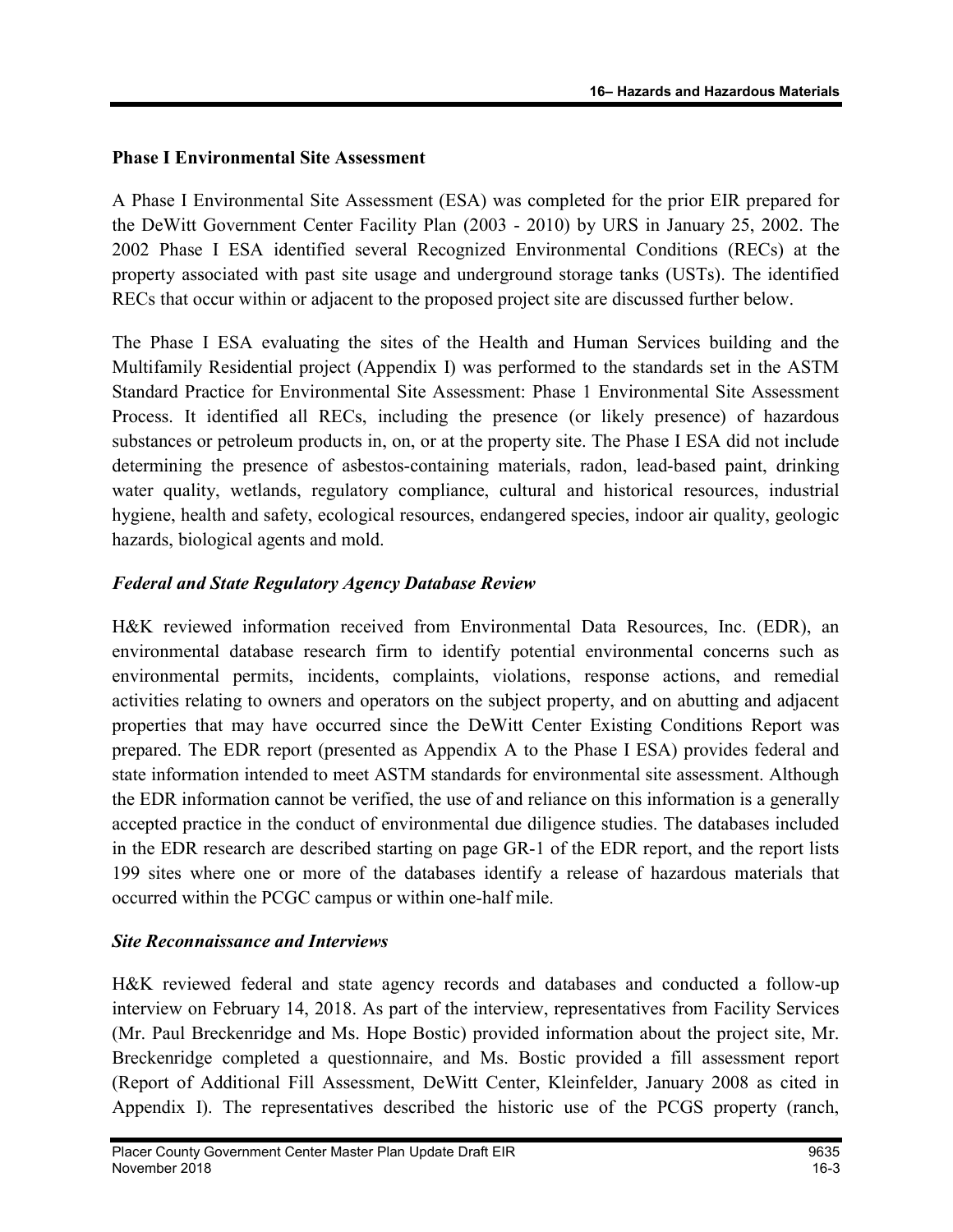#### Phase I Environmental Site Assessment

A Phase I Environmental Site Assessment (ESA) was completed for the prior EIR prepared for the DeWitt Government Center Facility Plan (2003 - 2010) by URS in January 25, 2002. The 2002 Phase I ESA identified several Recognized Environmental Conditions (RECs) at the property associated with past site usage and underground storage tanks (USTs). The identified RECs that occur within or adjacent to the proposed project site are discussed further below.

The Phase I ESA evaluating the sites of the Health and Human Services building and the Multifamily Residential project (Appendix I) was performed to the standards set in the ASTM Standard Practice for Environmental Site Assessment: Phase 1 Environmental Site Assessment Process. It identified all RECs, including the presence (or likely presence) of hazardous substances or petroleum products in, on, or at the property site. The Phase I ESA did not include determining the presence of asbestos-containing materials, radon, lead-based paint, drinking water quality, wetlands, regulatory compliance, cultural and historical resources, industrial hygiene, health and safety, ecological resources, endangered species, indoor air quality, geologic hazards, biological agents and mold.

## Federal and State Regulatory Agency Database Review

H&K reviewed information received from Environmental Data Resources, Inc. (EDR), an environmental database research firm to identify potential environmental concerns such as environmental permits, incidents, complaints, violations, response actions, and remedial activities relating to owners and operators on the subject property, and on abutting and adjacent properties that may have occurred since the DeWitt Center Existing Conditions Report was prepared. The EDR report (presented as Appendix A to the Phase I ESA) provides federal and state information intended to meet ASTM standards for environmental site assessment. Although the EDR information cannot be verified, the use of and reliance on this information is a generally accepted practice in the conduct of environmental due diligence studies. The databases included in the EDR research are described starting on page GR-1 of the EDR report, and the report lists 199 sites where one or more of the databases identify a release of hazardous materials that occurred within the PCGC campus or within one-half mile.

#### Site Reconnaissance and Interviews

H&K reviewed federal and state agency records and databases and conducted a follow-up interview on February 14, 2018. As part of the interview, representatives from Facility Services (Mr. Paul Breckenridge and Ms. Hope Bostic) provided information about the project site, Mr. Breckenridge completed a questionnaire, and Ms. Bostic provided a fill assessment report (Report of Additional Fill Assessment, DeWitt Center, Kleinfelder, January 2008 as cited in Appendix I). The representatives described the historic use of the PCGS property (ranch,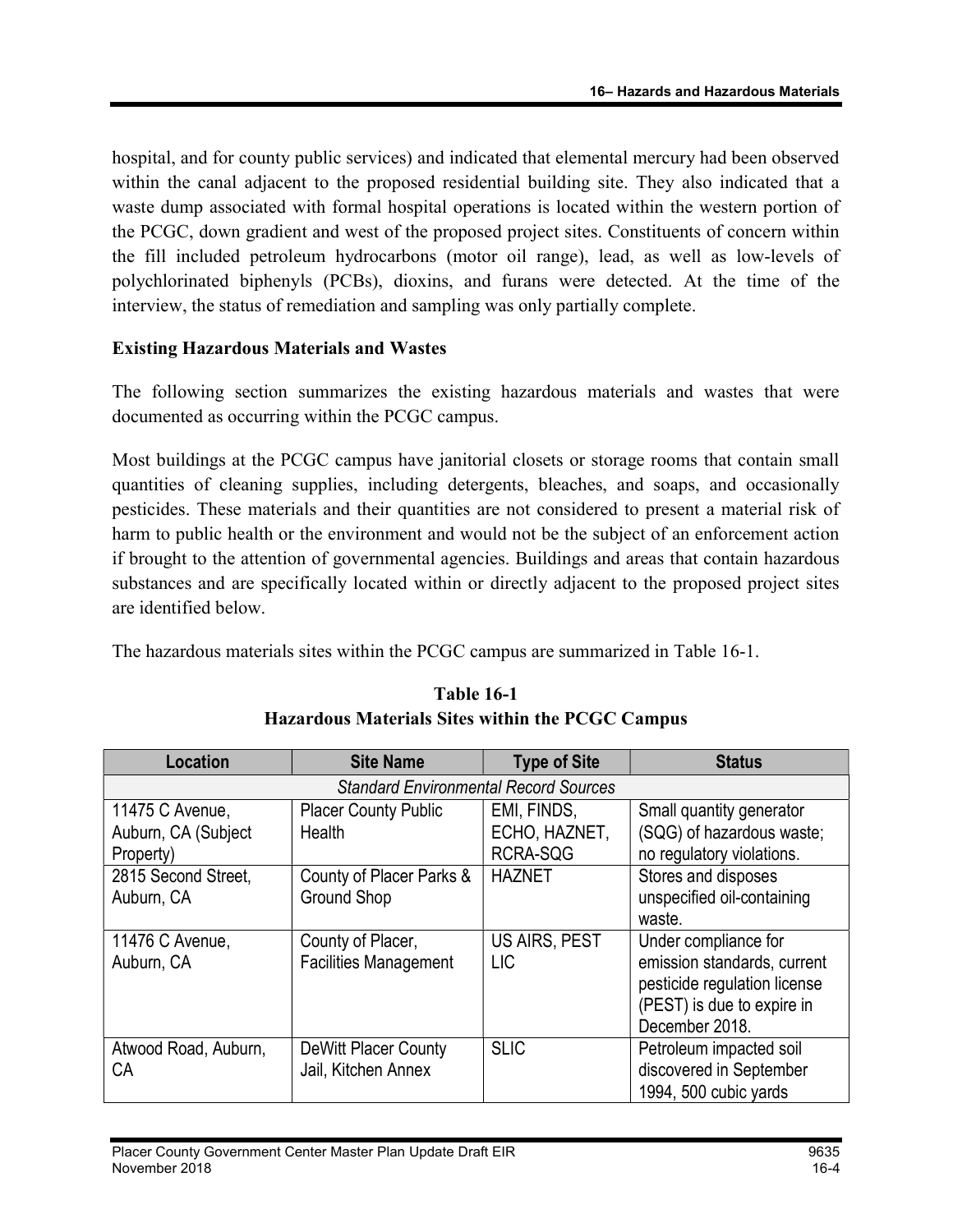hospital, and for county public services) and indicated that elemental mercury had been observed within the canal adjacent to the proposed residential building site. They also indicated that a waste dump associated with formal hospital operations is located within the western portion of the PCGC, down gradient and west of the proposed project sites. Constituents of concern within the fill included petroleum hydrocarbons (motor oil range), lead, as well as low-levels of polychlorinated biphenyls (PCBs), dioxins, and furans were detected. At the time of the interview, the status of remediation and sampling was only partially complete.

#### Existing Hazardous Materials and Wastes

The following section summarizes the existing hazardous materials and wastes that were documented as occurring within the PCGC campus.

Most buildings at the PCGC campus have janitorial closets or storage rooms that contain small quantities of cleaning supplies, including detergents, bleaches, and soaps, and occasionally pesticides. These materials and their quantities are not considered to present a material risk of harm to public health or the environment and would not be the subject of an enforcement action if brought to the attention of governmental agencies. Buildings and areas that contain hazardous substances and are specifically located within or directly adjacent to the proposed project sites are identified below.

The hazardous materials sites within the PCGC campus are summarized in Table 16-1.

| <b>Location</b>                                | <b>Site Name</b>                                   | <b>Type of Site</b>                | <b>Status</b>                                                                                                                       |
|------------------------------------------------|----------------------------------------------------|------------------------------------|-------------------------------------------------------------------------------------------------------------------------------------|
|                                                | <b>Standard Environmental Record Sources</b>       |                                    |                                                                                                                                     |
| 11475 C Avenue,<br>Auburn, CA (Subject         | <b>Placer County Public</b><br>Health              | EMI, FINDS,<br>ECHO, HAZNET,       | Small quantity generator<br>(SQG) of hazardous waste;                                                                               |
| Property)<br>2815 Second Street,<br>Auburn, CA | County of Placer Parks &<br><b>Ground Shop</b>     | RCRA-SQG<br><b>HAZNET</b>          | no regulatory violations.<br>Stores and disposes<br>unspecified oil-containing<br>waste.                                            |
| 11476 C Avenue,<br>Auburn, CA                  | County of Placer,<br><b>Facilities Management</b>  | <b>US AIRS, PEST</b><br><b>LIC</b> | Under compliance for<br>emission standards, current<br>pesticide regulation license<br>(PEST) is due to expire in<br>December 2018. |
| Atwood Road, Auburn,<br>СA                     | <b>DeWitt Placer County</b><br>Jail, Kitchen Annex | <b>SLIC</b>                        | Petroleum impacted soil<br>discovered in September<br>1994, 500 cubic yards                                                         |

## Table 16-1 Hazardous Materials Sites within the PCGC Campus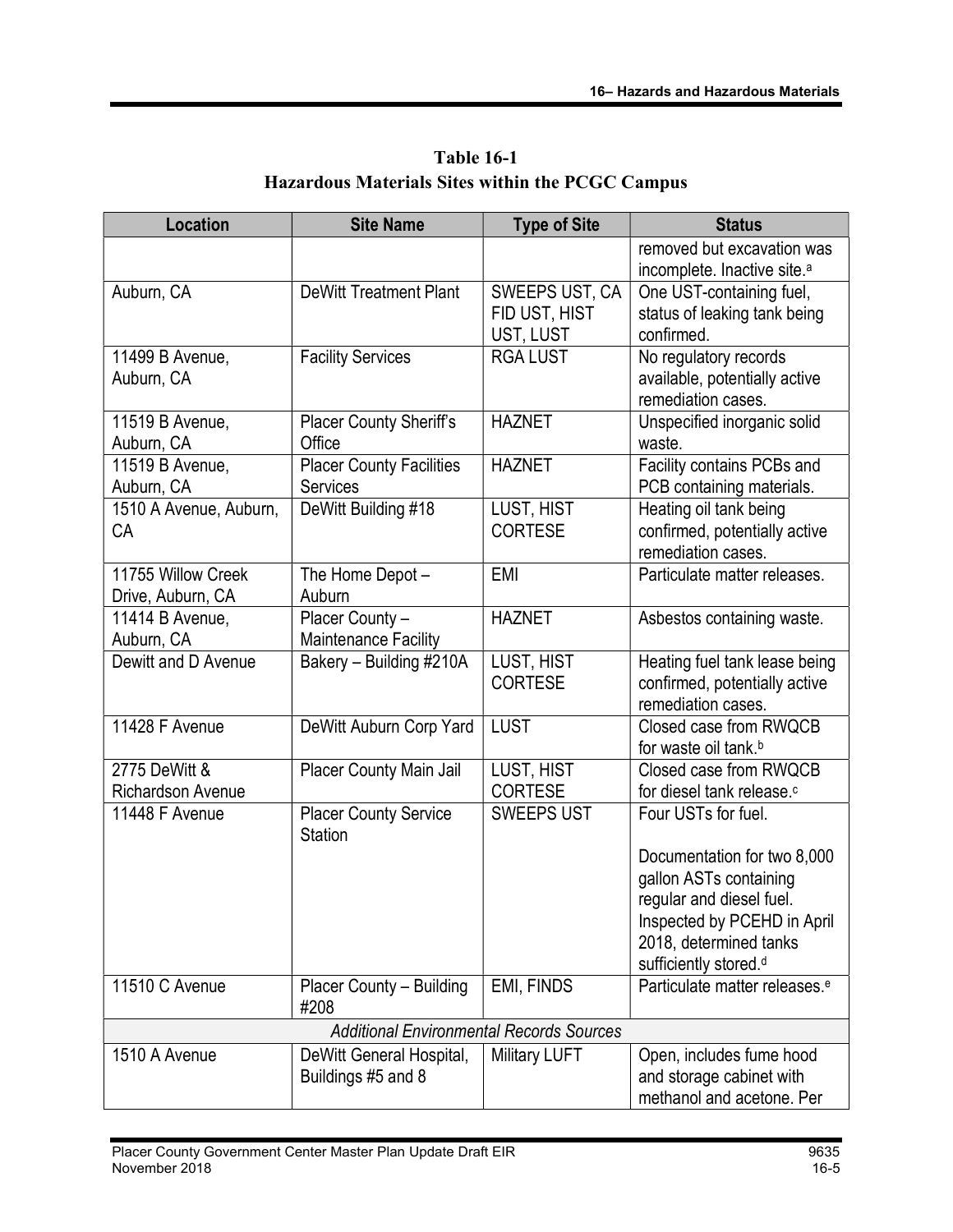| <b>Location</b>               | <b>Site Name</b>                                | <b>Type of Site</b>          | <b>Status</b>                                               |
|-------------------------------|-------------------------------------------------|------------------------------|-------------------------------------------------------------|
|                               |                                                 |                              | removed but excavation was                                  |
|                               |                                                 |                              | incomplete. Inactive site. <sup>a</sup>                     |
| Auburn, CA                    | <b>DeWitt Treatment Plant</b>                   | SWEEPS UST, CA               | One UST-containing fuel,                                    |
|                               |                                                 | FID UST, HIST                | status of leaking tank being                                |
|                               |                                                 | UST, LUST                    | confirmed.                                                  |
| 11499 B Avenue,<br>Auburn, CA | <b>Facility Services</b>                        | <b>RGA LUST</b>              | No regulatory records                                       |
|                               |                                                 |                              | available, potentially active<br>remediation cases.         |
| 11519 B Avenue,               | <b>Placer County Sheriff's</b>                  | <b>HAZNET</b>                | Unspecified inorganic solid                                 |
| Auburn, CA                    | Office                                          |                              | waste.                                                      |
| 11519 B Avenue,               | <b>Placer County Facilities</b>                 | <b>HAZNET</b>                | Facility contains PCBs and                                  |
| Auburn, CA                    | <b>Services</b>                                 |                              | PCB containing materials.                                   |
| 1510 A Avenue, Auburn,        | DeWitt Building #18                             | LUST, HIST                   | Heating oil tank being                                      |
| CA                            |                                                 | <b>CORTESE</b>               | confirmed, potentially active                               |
|                               |                                                 |                              | remediation cases.                                          |
| 11755 Willow Creek            | The Home Depot -                                | <b>EMI</b>                   | Particulate matter releases.                                |
| Drive, Auburn, CA             | Auburn                                          |                              |                                                             |
| 11414 B Avenue,               | Placer County -                                 | <b>HAZNET</b>                | Asbestos containing waste.                                  |
| Auburn, CA                    | Maintenance Facility                            |                              |                                                             |
| Dewitt and D Avenue           | Bakery - Building #210A                         | LUST, HIST<br><b>CORTESE</b> | Heating fuel tank lease being                               |
|                               |                                                 |                              | confirmed, potentially active<br>remediation cases.         |
| 11428 F Avenue                | DeWitt Auburn Corp Yard                         | <b>LUST</b>                  | Closed case from RWQCB                                      |
|                               |                                                 |                              | for waste oil tank. <sup>b</sup>                            |
| 2775 DeWitt &                 | Placer County Main Jail                         | LUST, HIST                   | Closed case from RWQCB                                      |
| <b>Richardson Avenue</b>      |                                                 | <b>CORTESE</b>               | for diesel tank release. <sup>c</sup>                       |
| 11448 F Avenue                | <b>Placer County Service</b>                    | <b>SWEEPS UST</b>            | Four USTs for fuel.                                         |
|                               | <b>Station</b>                                  |                              |                                                             |
|                               |                                                 |                              | Documentation for two 8,000                                 |
|                               |                                                 |                              | gallon ASTs containing                                      |
|                               |                                                 |                              | regular and diesel fuel.                                    |
|                               |                                                 |                              | Inspected by PCEHD in April                                 |
|                               |                                                 |                              | 2018, determined tanks<br>sufficiently stored. <sup>d</sup> |
| 11510 C Avenue                | Placer County - Building                        | EMI, FINDS                   | Particulate matter releases. <sup>e</sup>                   |
|                               | #208                                            |                              |                                                             |
|                               | <b>Additional Environmental Records Sources</b> |                              |                                                             |
| 1510 A Avenue                 | DeWitt General Hospital,                        | <b>Military LUFT</b>         | Open, includes fume hood                                    |
|                               | Buildings #5 and 8                              |                              | and storage cabinet with                                    |
|                               |                                                 |                              | methanol and acetone. Per                                   |

Table 16-1 Hazardous Materials Sites within the PCGC Campus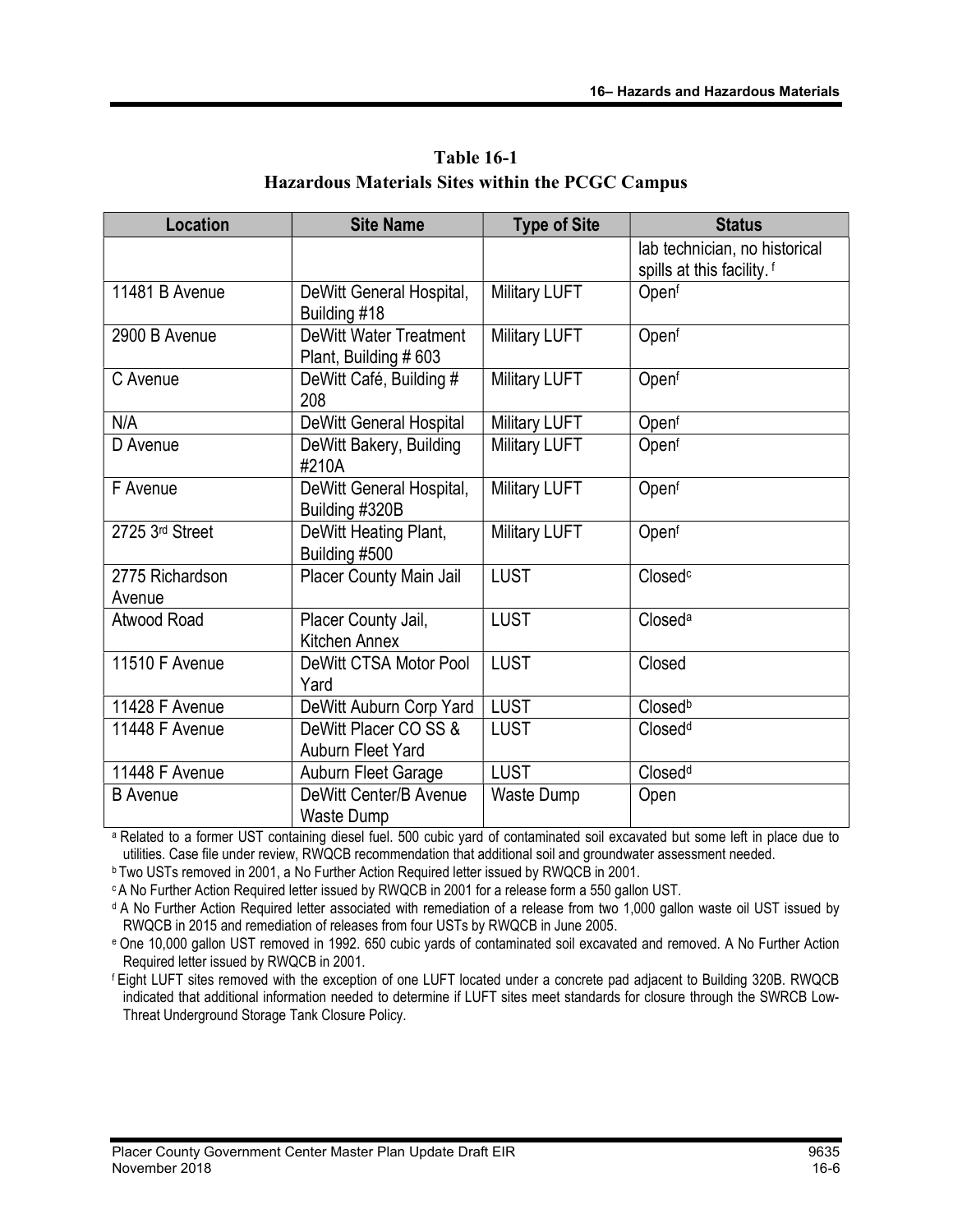| <b>Location</b>           | <b>Site Name</b>                                       | <b>Type of Site</b>  | <b>Status</b>                                                          |
|---------------------------|--------------------------------------------------------|----------------------|------------------------------------------------------------------------|
|                           |                                                        |                      | lab technician, no historical<br>spills at this facility. <sup>f</sup> |
| 11481 B Avenue            | DeWitt General Hospital,<br>Building #18               | <b>Military LUFT</b> | Openf                                                                  |
| 2900 B Avenue             | <b>DeWitt Water Treatment</b><br>Plant, Building # 603 | <b>Military LUFT</b> | Openf                                                                  |
| C Avenue                  | DeWitt Café, Building #<br>208                         | <b>Military LUFT</b> | Openf                                                                  |
| N/A                       | <b>DeWitt General Hospital</b>                         | <b>Military LUFT</b> | Openf                                                                  |
| D Avenue                  | DeWitt Bakery, Building<br>#210A                       | <b>Military LUFT</b> | Openf                                                                  |
| F Avenue                  | DeWitt General Hospital,<br>Building #320B             | <b>Military LUFT</b> | Openf                                                                  |
| 2725 3rd Street           | DeWitt Heating Plant,<br>Building #500                 | <b>Military LUFT</b> | Openf                                                                  |
| 2775 Richardson<br>Avenue | <b>Placer County Main Jail</b>                         | <b>LUST</b>          | Closed <sup>c</sup>                                                    |
| Atwood Road               | Placer County Jail,<br>Kitchen Annex                   | <b>LUST</b>          | Closed <sup>a</sup>                                                    |
| 11510 F Avenue            | DeWitt CTSA Motor Pool<br>Yard                         | <b>LUST</b>          | Closed                                                                 |
| 11428 F Avenue            | DeWitt Auburn Corp Yard                                | <b>LUST</b>          | Closed <sup>b</sup>                                                    |
| 11448 F Avenue            | DeWitt Placer CO SS &<br>Auburn Fleet Yard             | <b>LUST</b>          | Closed <sup>d</sup>                                                    |
| 11448 F Avenue            | Auburn Fleet Garage                                    | <b>LUST</b>          | Closed <sup>d</sup>                                                    |
| <b>B</b> Avenue           | DeWitt Center/B Avenue<br>Waste Dump                   | Waste Dump           | Open                                                                   |

Table 16-1 Hazardous Materials Sites within the PCGC Campus

a Related to a former UST containing diesel fuel. 500 cubic yard of contaminated soil excavated but some left in place due to utilities. Case file under review, RWQCB recommendation that additional soil and groundwater assessment needed.

**bTwo USTs removed in 2001, a No Further Action Required letter issued by RWQCB in 2001.** 

<sup>c</sup>A No Further Action Required letter issued by RWQCB in 2001 for a release form a 550 gallon UST.

<sup>d</sup> A No Further Action Required letter associated with remediation of a release from two 1,000 gallon waste oil UST issued by RWQCB in 2015 and remediation of releases from four USTs by RWQCB in June 2005.

e One 10,000 gallon UST removed in 1992. 650 cubic yards of contaminated soil excavated and removed. A No Further Action Required letter issued by RWQCB in 2001.

<sup>f</sup>Eight LUFT sites removed with the exception of one LUFT located under a concrete pad adjacent to Building 320B. RWQCB indicated that additional information needed to determine if LUFT sites meet standards for closure through the SWRCB Low-Threat Underground Storage Tank Closure Policy.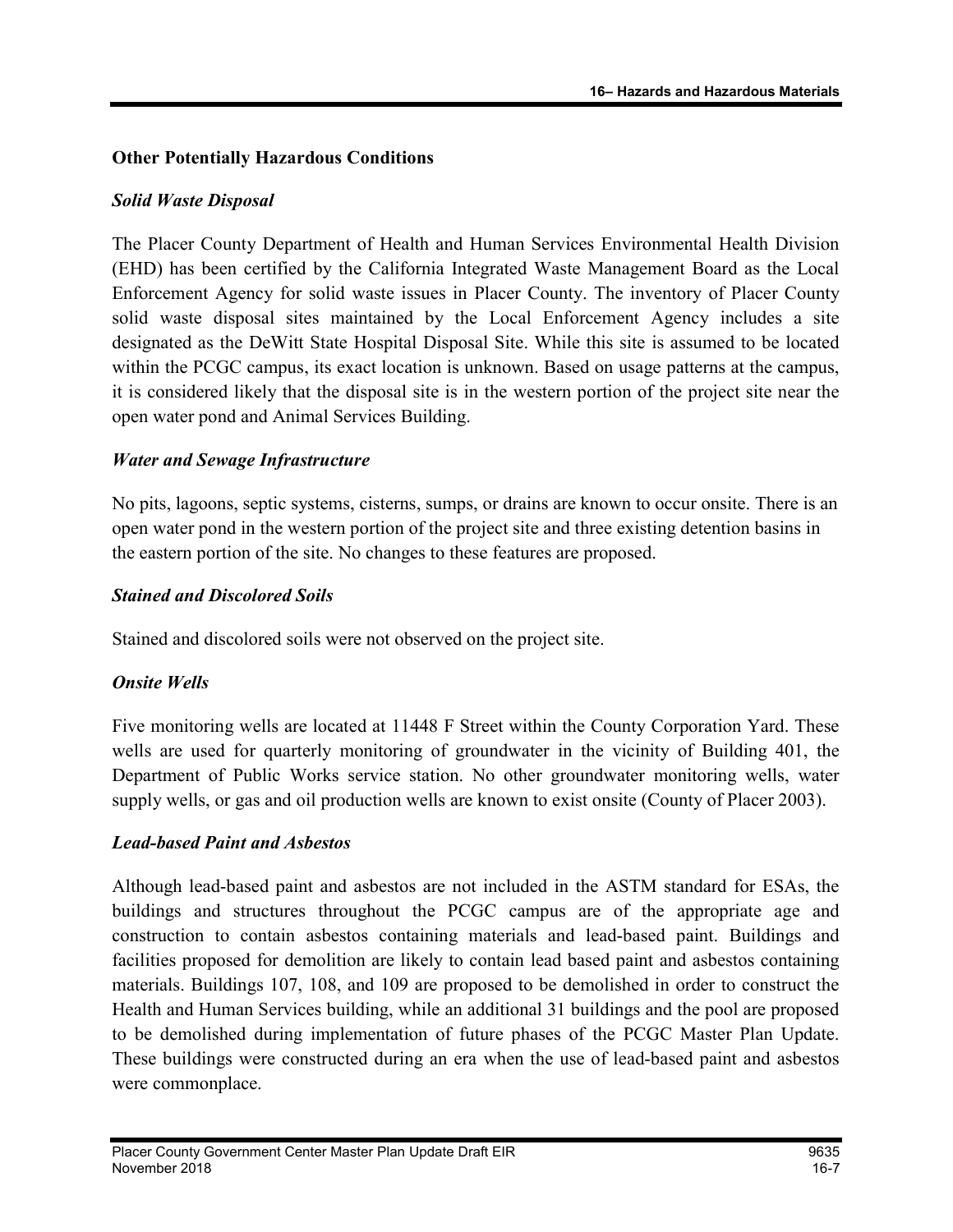#### Other Potentially Hazardous Conditions

#### Solid Waste Disposal

The Placer County Department of Health and Human Services Environmental Health Division (EHD) has been certified by the California Integrated Waste Management Board as the Local Enforcement Agency for solid waste issues in Placer County. The inventory of Placer County solid waste disposal sites maintained by the Local Enforcement Agency includes a site designated as the DeWitt State Hospital Disposal Site. While this site is assumed to be located within the PCGC campus, its exact location is unknown. Based on usage patterns at the campus, it is considered likely that the disposal site is in the western portion of the project site near the open water pond and Animal Services Building.

#### Water and Sewage Infrastructure

No pits, lagoons, septic systems, cisterns, sumps, or drains are known to occur onsite. There is an open water pond in the western portion of the project site and three existing detention basins in the eastern portion of the site. No changes to these features are proposed.

#### Stained and Discolored Soils

Stained and discolored soils were not observed on the project site.

## Onsite Wells

Five monitoring wells are located at 11448 F Street within the County Corporation Yard. These wells are used for quarterly monitoring of groundwater in the vicinity of Building 401, the Department of Public Works service station. No other groundwater monitoring wells, water supply wells, or gas and oil production wells are known to exist onsite (County of Placer 2003).

## Lead-based Paint and Asbestos

Although lead-based paint and asbestos are not included in the ASTM standard for ESAs, the buildings and structures throughout the PCGC campus are of the appropriate age and construction to contain asbestos containing materials and lead-based paint. Buildings and facilities proposed for demolition are likely to contain lead based paint and asbestos containing materials. Buildings 107, 108, and 109 are proposed to be demolished in order to construct the Health and Human Services building, while an additional 31 buildings and the pool are proposed to be demolished during implementation of future phases of the PCGC Master Plan Update. These buildings were constructed during an era when the use of lead-based paint and asbestos were commonplace.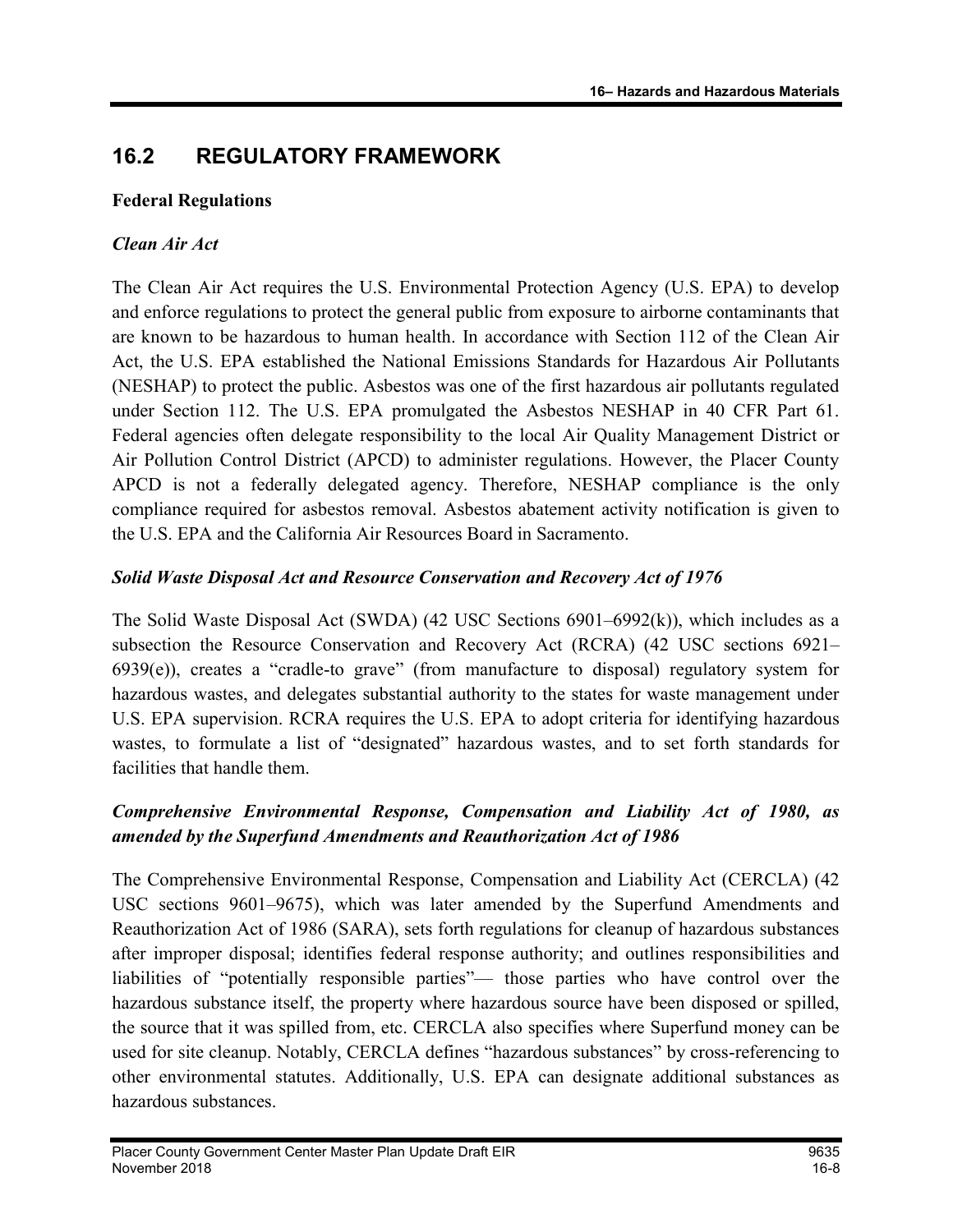# 16.2 REGULATORY FRAMEWORK

#### Federal Regulations

## Clean Air Act

The Clean Air Act requires the U.S. Environmental Protection Agency (U.S. EPA) to develop and enforce regulations to protect the general public from exposure to airborne contaminants that are known to be hazardous to human health. In accordance with Section 112 of the Clean Air Act, the U.S. EPA established the National Emissions Standards for Hazardous Air Pollutants (NESHAP) to protect the public. Asbestos was one of the first hazardous air pollutants regulated under Section 112. The U.S. EPA promulgated the Asbestos NESHAP in 40 CFR Part 61. Federal agencies often delegate responsibility to the local Air Quality Management District or Air Pollution Control District (APCD) to administer regulations. However, the Placer County APCD is not a federally delegated agency. Therefore, NESHAP compliance is the only compliance required for asbestos removal. Asbestos abatement activity notification is given to the U.S. EPA and the California Air Resources Board in Sacramento.

## Solid Waste Disposal Act and Resource Conservation and Recovery Act of 1976

The Solid Waste Disposal Act (SWDA) (42 USC Sections 6901–6992(k)), which includes as a subsection the Resource Conservation and Recovery Act (RCRA) (42 USC sections 6921– 6939(e)), creates a "cradle-to grave" (from manufacture to disposal) regulatory system for hazardous wastes, and delegates substantial authority to the states for waste management under U.S. EPA supervision. RCRA requires the U.S. EPA to adopt criteria for identifying hazardous wastes, to formulate a list of "designated" hazardous wastes, and to set forth standards for facilities that handle them.

## Comprehensive Environmental Response, Compensation and Liability Act of 1980, as amended by the Superfund Amendments and Reauthorization Act of 1986

The Comprehensive Environmental Response, Compensation and Liability Act (CERCLA) (42 USC sections 9601–9675), which was later amended by the Superfund Amendments and Reauthorization Act of 1986 (SARA), sets forth regulations for cleanup of hazardous substances after improper disposal; identifies federal response authority; and outlines responsibilities and liabilities of "potentially responsible parties"— those parties who have control over the hazardous substance itself, the property where hazardous source have been disposed or spilled, the source that it was spilled from, etc. CERCLA also specifies where Superfund money can be used for site cleanup. Notably, CERCLA defines "hazardous substances" by cross-referencing to other environmental statutes. Additionally, U.S. EPA can designate additional substances as hazardous substances.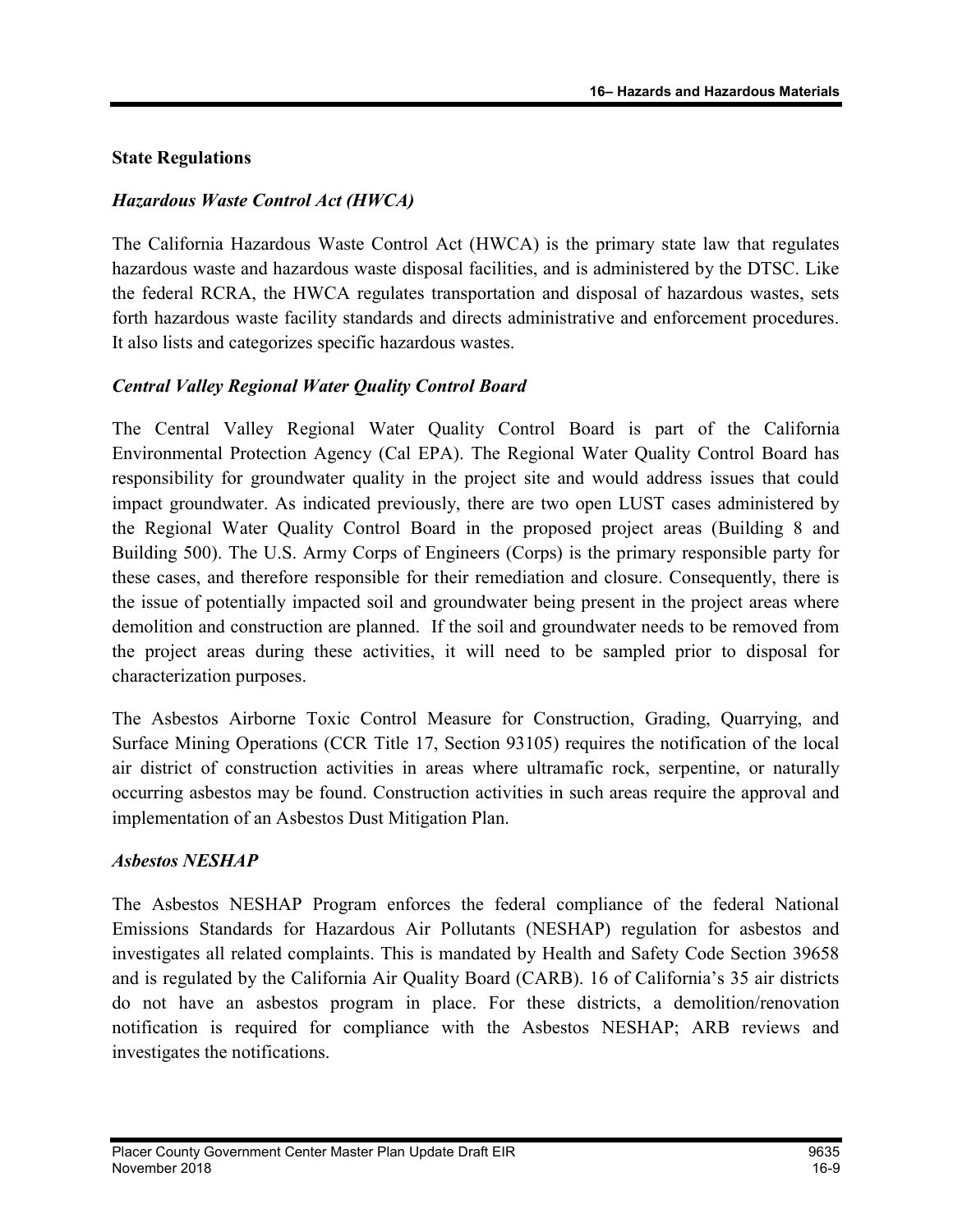#### State Regulations

#### Hazardous Waste Control Act (HWCA)

The California Hazardous Waste Control Act (HWCA) is the primary state law that regulates hazardous waste and hazardous waste disposal facilities, and is administered by the DTSC. Like the federal RCRA, the HWCA regulates transportation and disposal of hazardous wastes, sets forth hazardous waste facility standards and directs administrative and enforcement procedures. It also lists and categorizes specific hazardous wastes.

## Central Valley Regional Water Quality Control Board

The Central Valley Regional Water Quality Control Board is part of the California Environmental Protection Agency (Cal EPA). The Regional Water Quality Control Board has responsibility for groundwater quality in the project site and would address issues that could impact groundwater. As indicated previously, there are two open LUST cases administered by the Regional Water Quality Control Board in the proposed project areas (Building 8 and Building 500). The U.S. Army Corps of Engineers (Corps) is the primary responsible party for these cases, and therefore responsible for their remediation and closure. Consequently, there is the issue of potentially impacted soil and groundwater being present in the project areas where demolition and construction are planned. If the soil and groundwater needs to be removed from the project areas during these activities, it will need to be sampled prior to disposal for characterization purposes.

The Asbestos Airborne Toxic Control Measure for Construction, Grading, Quarrying, and Surface Mining Operations (CCR Title 17, Section 93105) requires the notification of the local air district of construction activities in areas where ultramafic rock, serpentine, or naturally occurring asbestos may be found. Construction activities in such areas require the approval and implementation of an Asbestos Dust Mitigation Plan.

#### Asbestos NESHAP

The Asbestos NESHAP Program enforces the federal compliance of the federal National Emissions Standards for Hazardous Air Pollutants (NESHAP) regulation for asbestos and investigates all related complaints. This is mandated by Health and Safety Code Section 39658 and is regulated by the California Air Quality Board (CARB). 16 of California's 35 air districts do not have an asbestos program in place. For these districts, a demolition/renovation notification is required for compliance with the Asbestos NESHAP; ARB reviews and investigates the notifications.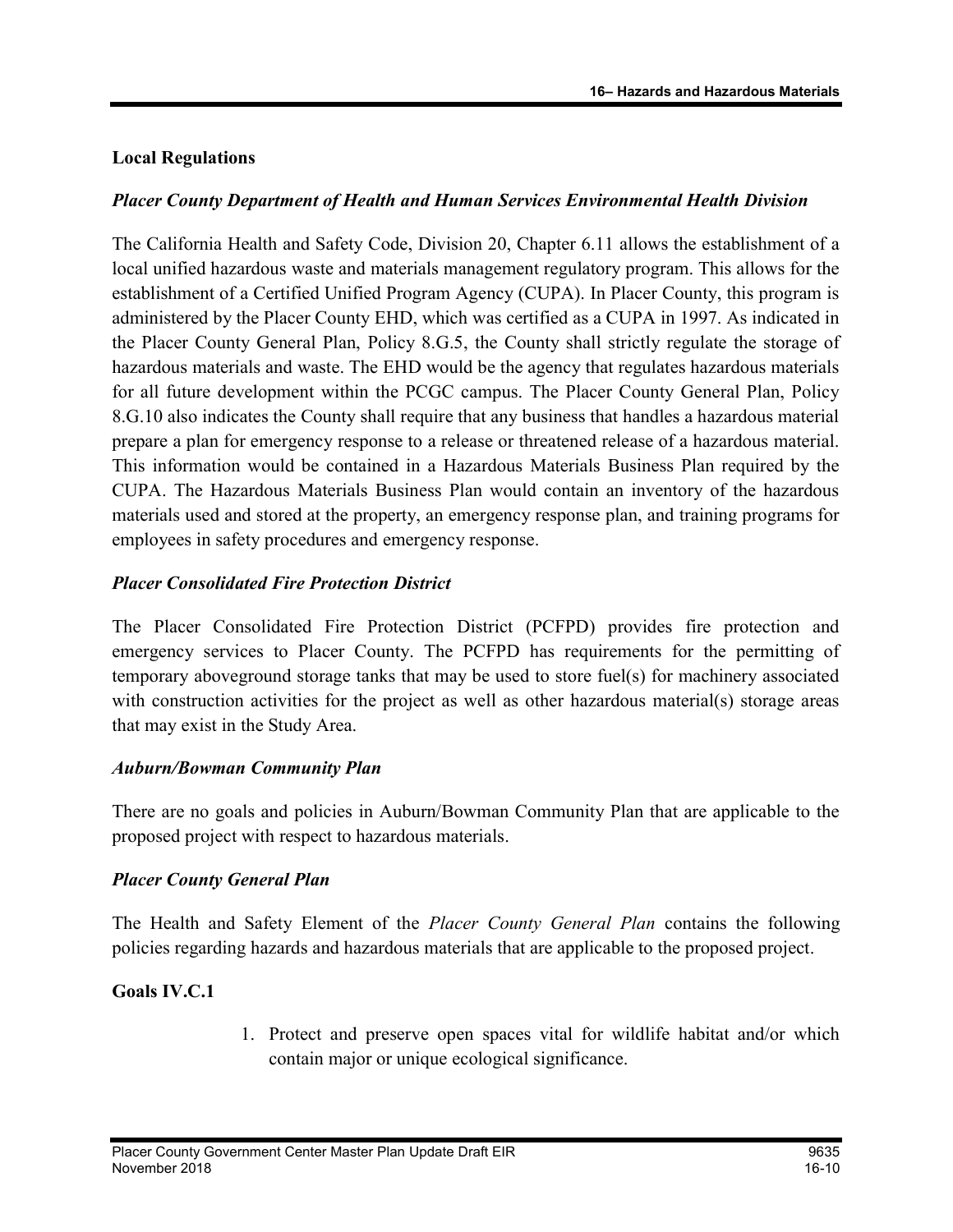#### Local Regulations

#### Placer County Department of Health and Human Services Environmental Health Division

The California Health and Safety Code, Division 20, Chapter 6.11 allows the establishment of a local unified hazardous waste and materials management regulatory program. This allows for the establishment of a Certified Unified Program Agency (CUPA). In Placer County, this program is administered by the Placer County EHD, which was certified as a CUPA in 1997. As indicated in the Placer County General Plan, Policy 8.G.5, the County shall strictly regulate the storage of hazardous materials and waste. The EHD would be the agency that regulates hazardous materials for all future development within the PCGC campus. The Placer County General Plan, Policy 8.G.10 also indicates the County shall require that any business that handles a hazardous material prepare a plan for emergency response to a release or threatened release of a hazardous material. This information would be contained in a Hazardous Materials Business Plan required by the CUPA. The Hazardous Materials Business Plan would contain an inventory of the hazardous materials used and stored at the property, an emergency response plan, and training programs for employees in safety procedures and emergency response.

#### Placer Consolidated Fire Protection District

The Placer Consolidated Fire Protection District (PCFPD) provides fire protection and emergency services to Placer County. The PCFPD has requirements for the permitting of temporary aboveground storage tanks that may be used to store fuel(s) for machinery associated with construction activities for the project as well as other hazardous material(s) storage areas that may exist in the Study Area.

#### Auburn/Bowman Community Plan

There are no goals and policies in Auburn/Bowman Community Plan that are applicable to the proposed project with respect to hazardous materials.

#### Placer County General Plan

The Health and Safety Element of the *Placer County General Plan* contains the following policies regarding hazards and hazardous materials that are applicable to the proposed project.

#### Goals IV.C.1

1. Protect and preserve open spaces vital for wildlife habitat and/or which contain major or unique ecological significance.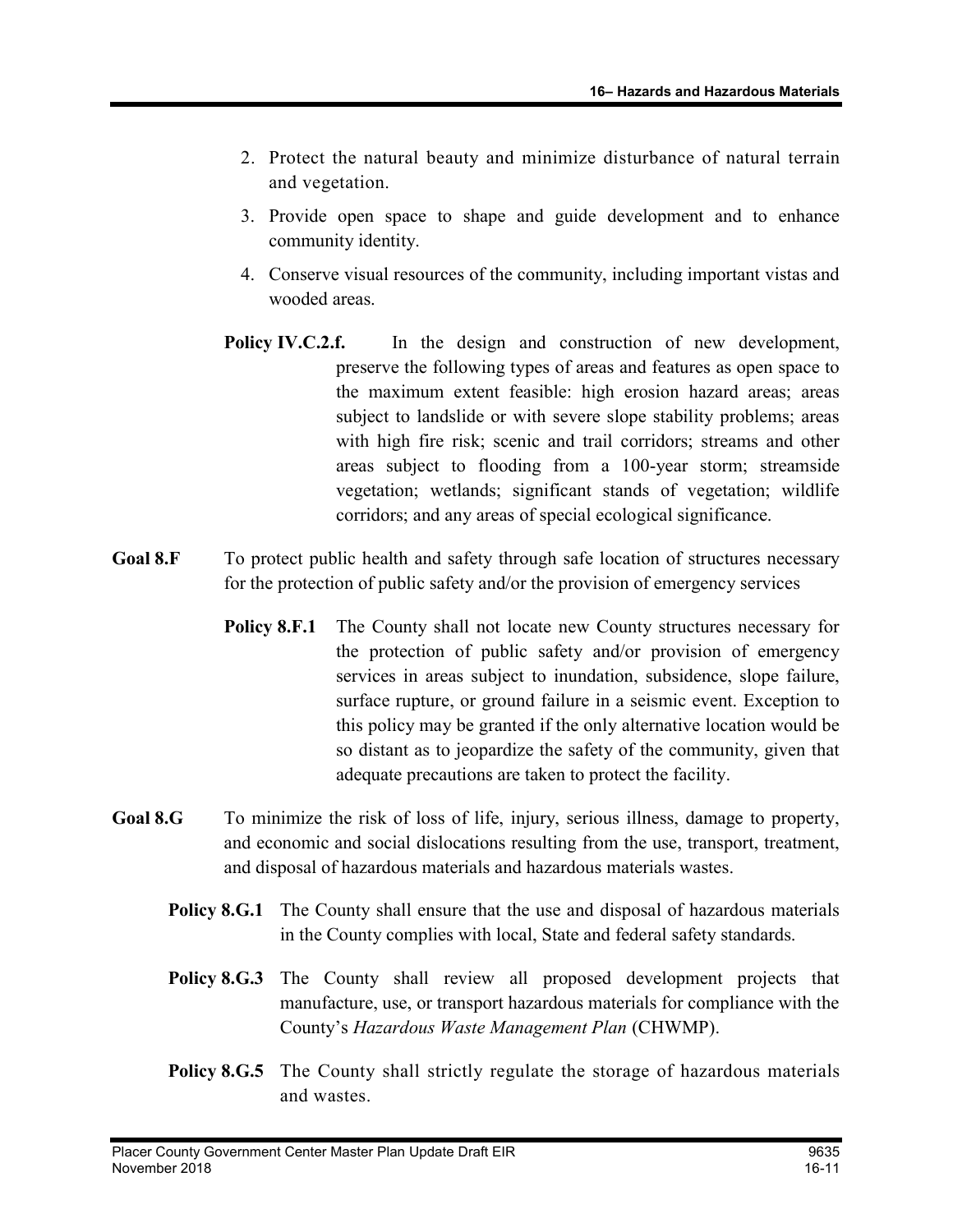- 2. Protect the natural beauty and minimize disturbance of natural terrain and vegetation.
- 3. Provide open space to shape and guide development and to enhance community identity.
- 4. Conserve visual resources of the community, including important vistas and wooded areas.
- Policy IV.C.2.f. In the design and construction of new development, preserve the following types of areas and features as open space to the maximum extent feasible: high erosion hazard areas; areas subject to landslide or with severe slope stability problems; areas with high fire risk; scenic and trail corridors; streams and other areas subject to flooding from a 100-year storm; streamside vegetation; wetlands; significant stands of vegetation; wildlife corridors; and any areas of special ecological significance.
- Goal 8.F To protect public health and safety through safe location of structures necessary for the protection of public safety and/or the provision of emergency services
	- Policy 8.F.1 The County shall not locate new County structures necessary for the protection of public safety and/or provision of emergency services in areas subject to inundation, subsidence, slope failure, surface rupture, or ground failure in a seismic event. Exception to this policy may be granted if the only alternative location would be so distant as to jeopardize the safety of the community, given that adequate precautions are taken to protect the facility.
- Goal 8.G To minimize the risk of loss of life, injury, serious illness, damage to property, and economic and social dislocations resulting from the use, transport, treatment, and disposal of hazardous materials and hazardous materials wastes.
	- **Policy 8.G.1** The County shall ensure that the use and disposal of hazardous materials in the County complies with local, State and federal safety standards.
	- Policy 8.G.3 The County shall review all proposed development projects that manufacture, use, or transport hazardous materials for compliance with the County's Hazardous Waste Management Plan (CHWMP).
	- **Policy 8.G.5** The County shall strictly regulate the storage of hazardous materials and wastes.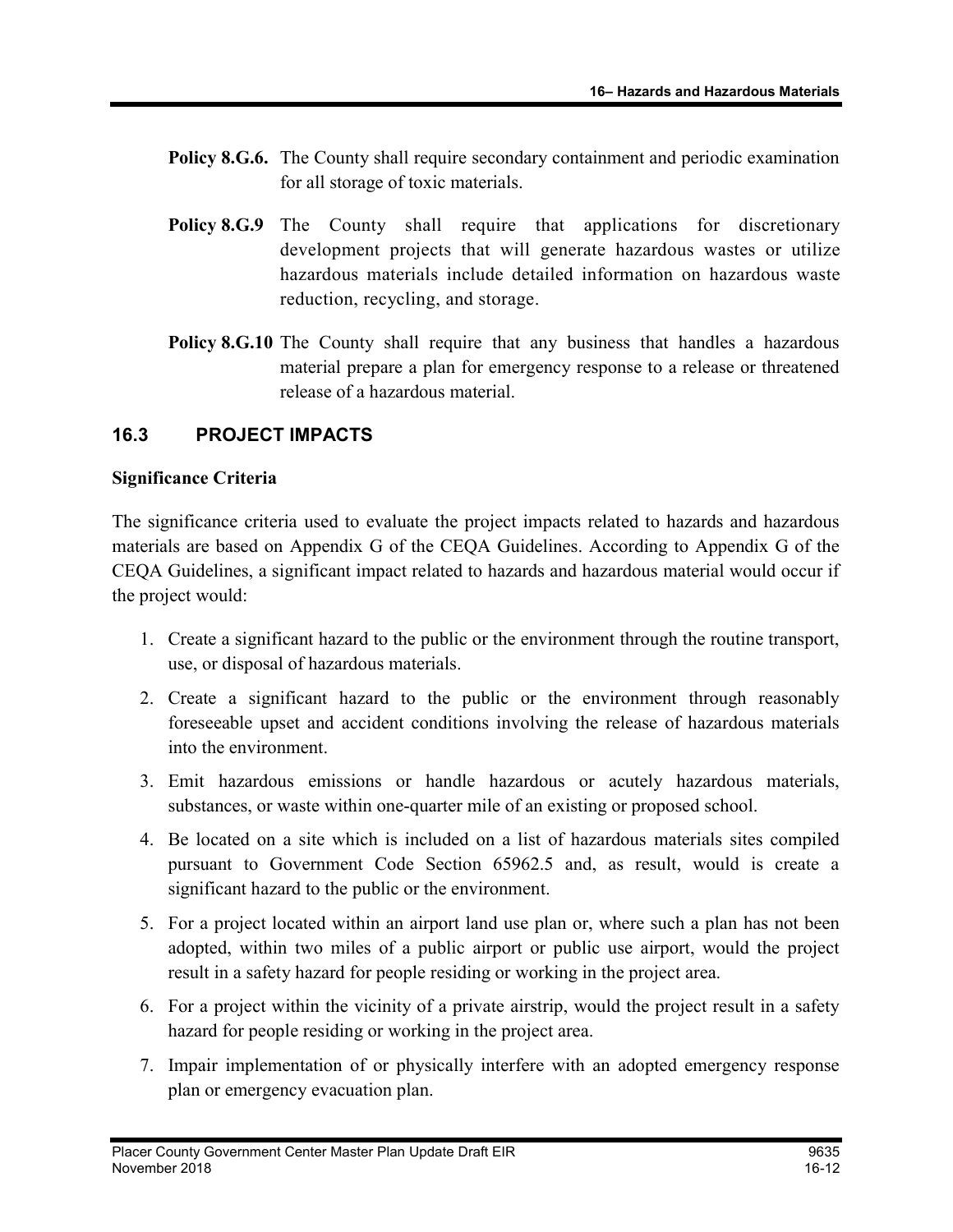- Policy 8.G.6. The County shall require secondary containment and periodic examination for all storage of toxic materials.
- Policy 8.G.9 The County shall require that applications for discretionary development projects that will generate hazardous wastes or utilize hazardous materials include detailed information on hazardous waste reduction, recycling, and storage.
- Policy 8.G.10 The County shall require that any business that handles a hazardous material prepare a plan for emergency response to a release or threatened release of a hazardous material.

## 16.3 PROJECT IMPACTS

#### Significance Criteria

The significance criteria used to evaluate the project impacts related to hazards and hazardous materials are based on Appendix G of the CEQA Guidelines. According to Appendix G of the CEQA Guidelines, a significant impact related to hazards and hazardous material would occur if the project would:

- 1. Create a significant hazard to the public or the environment through the routine transport, use, or disposal of hazardous materials.
- 2. Create a significant hazard to the public or the environment through reasonably foreseeable upset and accident conditions involving the release of hazardous materials into the environment.
- 3. Emit hazardous emissions or handle hazardous or acutely hazardous materials, substances, or waste within one-quarter mile of an existing or proposed school.
- 4. Be located on a site which is included on a list of hazardous materials sites compiled pursuant to Government Code Section 65962.5 and, as result, would is create a significant hazard to the public or the environment.
- 5. For a project located within an airport land use plan or, where such a plan has not been adopted, within two miles of a public airport or public use airport, would the project result in a safety hazard for people residing or working in the project area.
- 6. For a project within the vicinity of a private airstrip, would the project result in a safety hazard for people residing or working in the project area.
- 7. Impair implementation of or physically interfere with an adopted emergency response plan or emergency evacuation plan.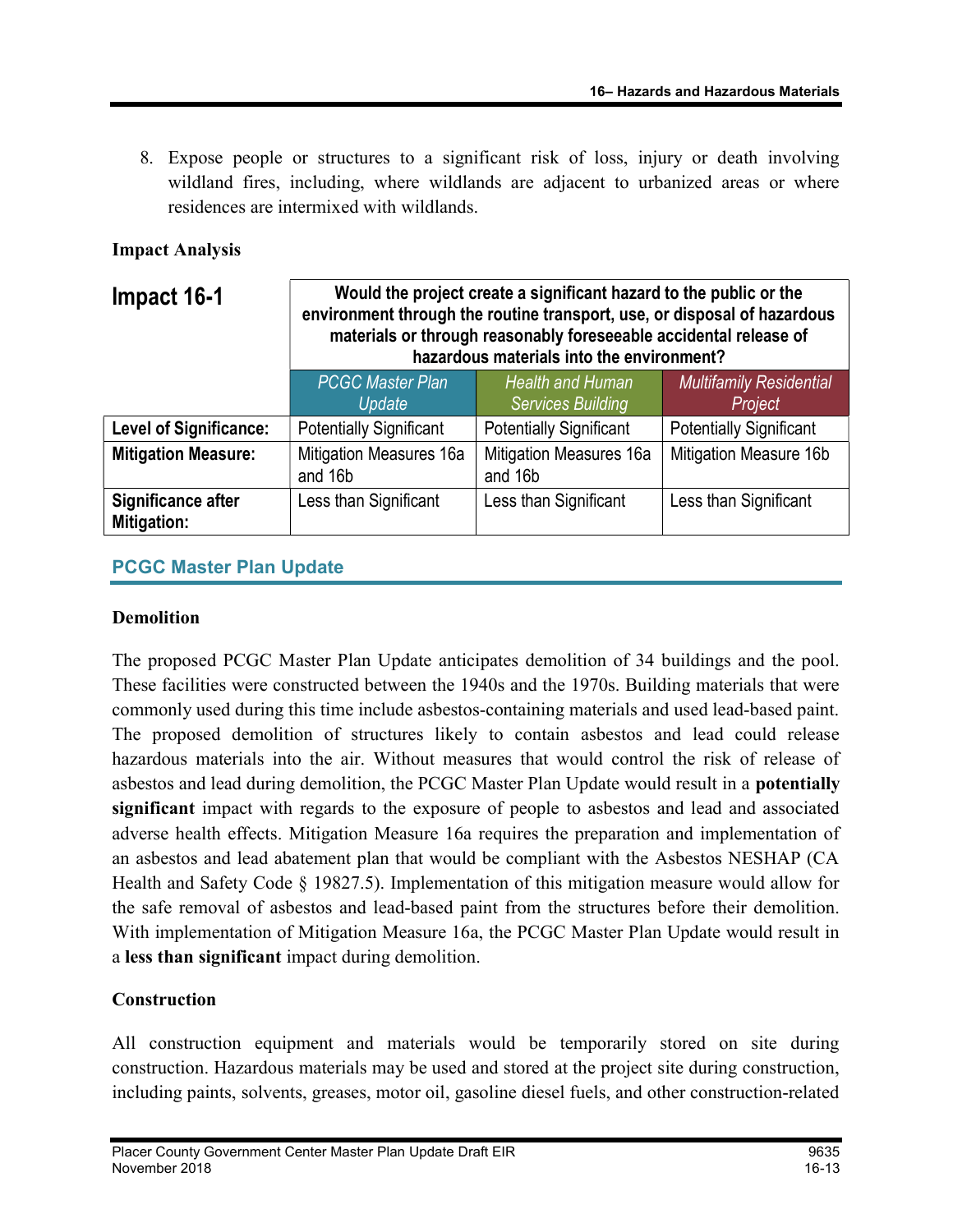8. Expose people or structures to a significant risk of loss, injury or death involving wildland fires, including, where wildlands are adjacent to urbanized areas or where residences are intermixed with wildlands.

## Impact Analysis

| Impact 16-1                              | Would the project create a significant hazard to the public or the<br>environment through the routine transport, use, or disposal of hazardous<br>materials or through reasonably foreseeable accidental release of<br>hazardous materials into the environment? |                                                     |                                           |
|------------------------------------------|------------------------------------------------------------------------------------------------------------------------------------------------------------------------------------------------------------------------------------------------------------------|-----------------------------------------------------|-------------------------------------------|
|                                          | <b>PCGC Master Plan</b><br>Update                                                                                                                                                                                                                                | <b>Health and Human</b><br><b>Services Building</b> | <b>Multifamily Residential</b><br>Project |
| <b>Level of Significance:</b>            | <b>Potentially Significant</b>                                                                                                                                                                                                                                   | <b>Potentially Significant</b>                      | <b>Potentially Significant</b>            |
| <b>Mitigation Measure:</b>               | Mitigation Measures 16a<br>and 16b                                                                                                                                                                                                                               | <b>Mitigation Measures 16a</b><br>and 16b           | Mitigation Measure 16b                    |
| Significance after<br><b>Mitigation:</b> | Less than Significant                                                                                                                                                                                                                                            | Less than Significant                               | Less than Significant                     |

## PCGC Master Plan Update

#### Demolition

The proposed PCGC Master Plan Update anticipates demolition of 34 buildings and the pool. These facilities were constructed between the 1940s and the 1970s. Building materials that were commonly used during this time include asbestos-containing materials and used lead-based paint. The proposed demolition of structures likely to contain asbestos and lead could release hazardous materials into the air. Without measures that would control the risk of release of asbestos and lead during demolition, the PCGC Master Plan Update would result in a potentially significant impact with regards to the exposure of people to asbestos and lead and associated adverse health effects. Mitigation Measure 16a requires the preparation and implementation of an asbestos and lead abatement plan that would be compliant with the Asbestos NESHAP (CA Health and Safety Code § 19827.5). Implementation of this mitigation measure would allow for the safe removal of asbestos and lead-based paint from the structures before their demolition. With implementation of Mitigation Measure 16a, the PCGC Master Plan Update would result in a less than significant impact during demolition.

## **Construction**

All construction equipment and materials would be temporarily stored on site during construction. Hazardous materials may be used and stored at the project site during construction, including paints, solvents, greases, motor oil, gasoline diesel fuels, and other construction-related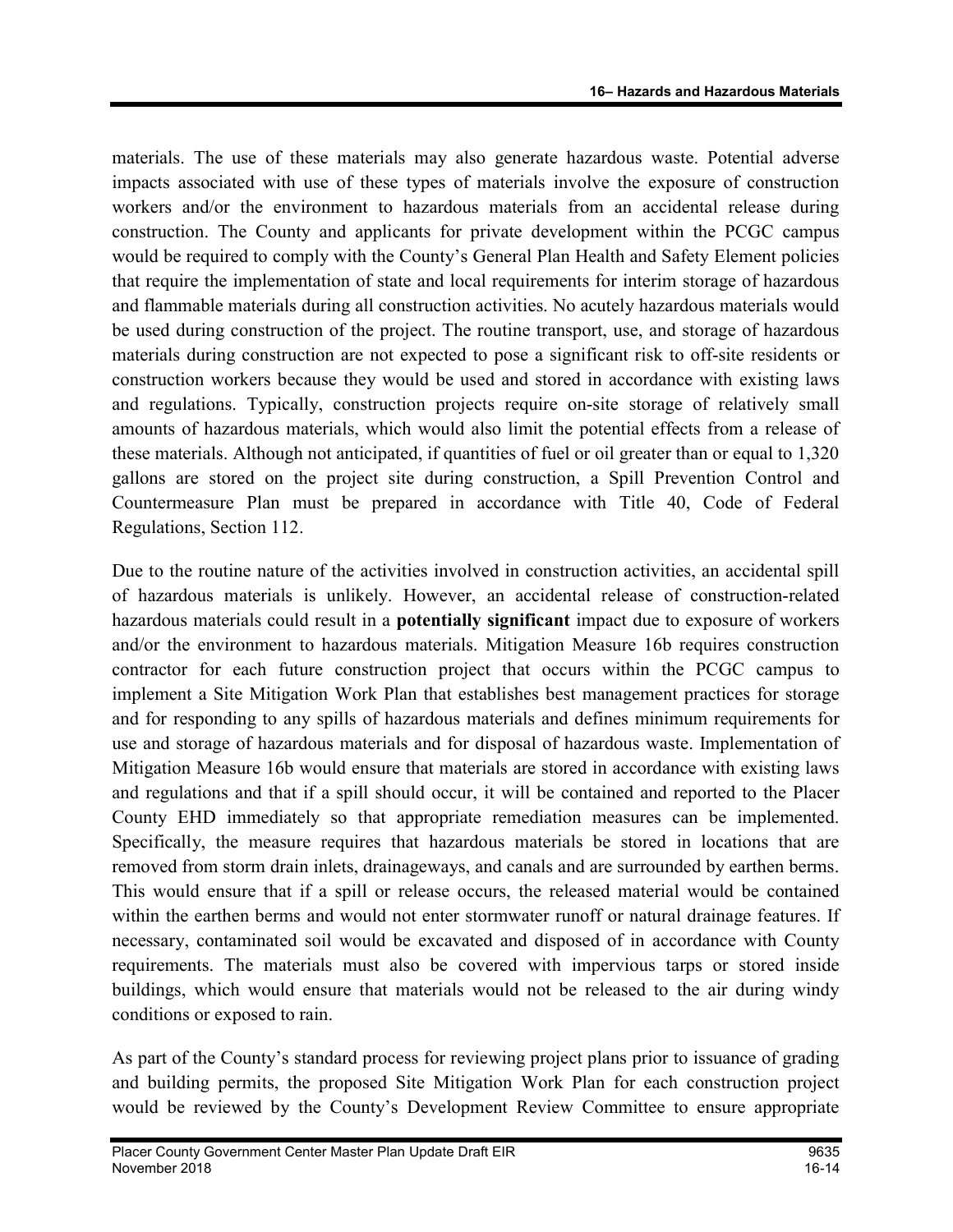materials. The use of these materials may also generate hazardous waste. Potential adverse impacts associated with use of these types of materials involve the exposure of construction workers and/or the environment to hazardous materials from an accidental release during construction. The County and applicants for private development within the PCGC campus would be required to comply with the County's General Plan Health and Safety Element policies that require the implementation of state and local requirements for interim storage of hazardous and flammable materials during all construction activities. No acutely hazardous materials would be used during construction of the project. The routine transport, use, and storage of hazardous materials during construction are not expected to pose a significant risk to off-site residents or construction workers because they would be used and stored in accordance with existing laws and regulations. Typically, construction projects require on-site storage of relatively small amounts of hazardous materials, which would also limit the potential effects from a release of these materials. Although not anticipated, if quantities of fuel or oil greater than or equal to 1,320 gallons are stored on the project site during construction, a Spill Prevention Control and Countermeasure Plan must be prepared in accordance with Title 40, Code of Federal Regulations, Section 112.

Due to the routine nature of the activities involved in construction activities, an accidental spill of hazardous materials is unlikely. However, an accidental release of construction-related hazardous materials could result in a potentially significant impact due to exposure of workers and/or the environment to hazardous materials. Mitigation Measure 16b requires construction contractor for each future construction project that occurs within the PCGC campus to implement a Site Mitigation Work Plan that establishes best management practices for storage and for responding to any spills of hazardous materials and defines minimum requirements for use and storage of hazardous materials and for disposal of hazardous waste. Implementation of Mitigation Measure 16b would ensure that materials are stored in accordance with existing laws and regulations and that if a spill should occur, it will be contained and reported to the Placer County EHD immediately so that appropriate remediation measures can be implemented. Specifically, the measure requires that hazardous materials be stored in locations that are removed from storm drain inlets, drainageways, and canals and are surrounded by earthen berms. This would ensure that if a spill or release occurs, the released material would be contained within the earthen berms and would not enter stormwater runoff or natural drainage features. If necessary, contaminated soil would be excavated and disposed of in accordance with County requirements. The materials must also be covered with impervious tarps or stored inside buildings, which would ensure that materials would not be released to the air during windy conditions or exposed to rain.

As part of the County's standard process for reviewing project plans prior to issuance of grading and building permits, the proposed Site Mitigation Work Plan for each construction project would be reviewed by the County's Development Review Committee to ensure appropriate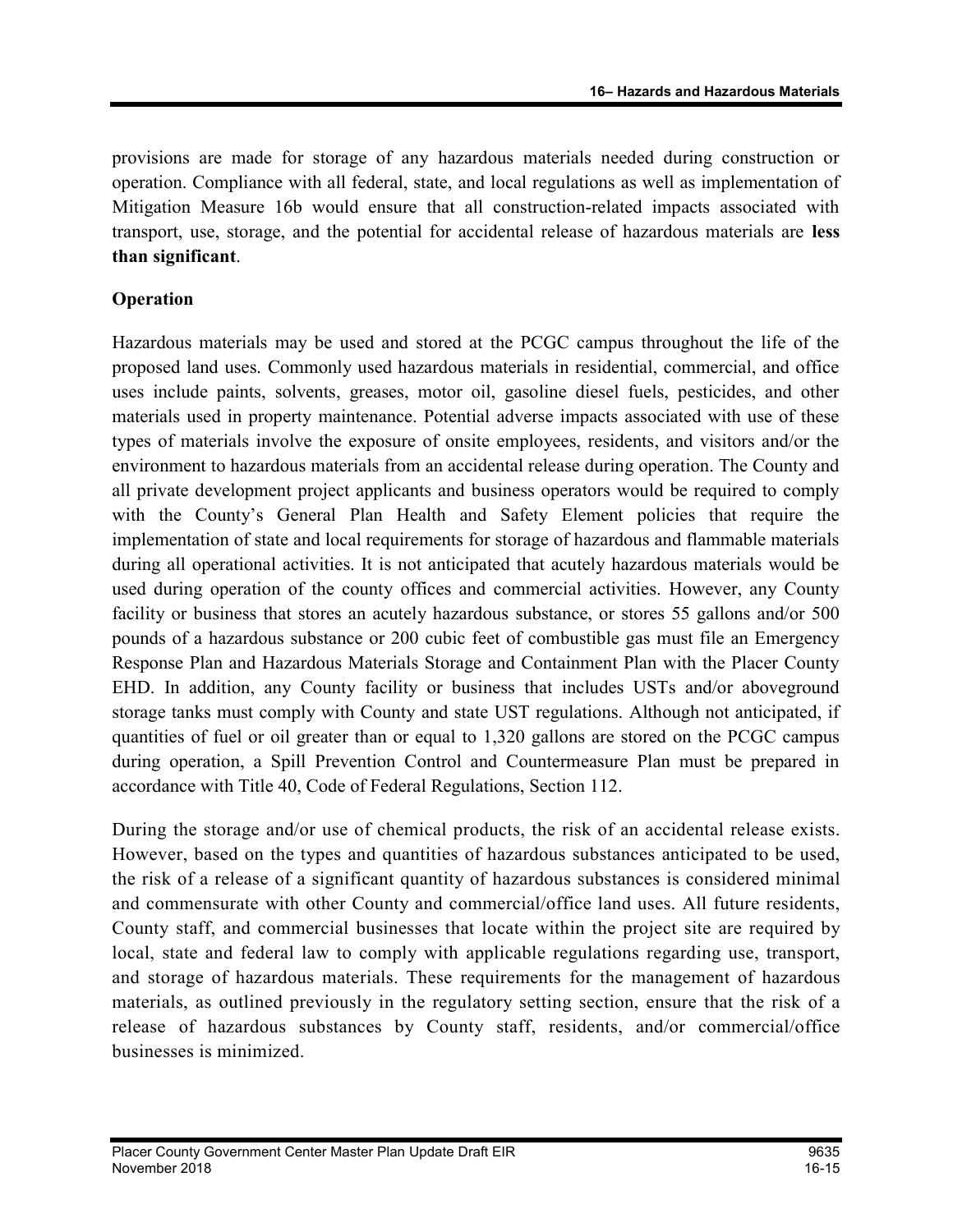provisions are made for storage of any hazardous materials needed during construction or operation. Compliance with all federal, state, and local regulations as well as implementation of Mitigation Measure 16b would ensure that all construction-related impacts associated with transport, use, storage, and the potential for accidental release of hazardous materials are less than significant.

## Operation

Hazardous materials may be used and stored at the PCGC campus throughout the life of the proposed land uses. Commonly used hazardous materials in residential, commercial, and office uses include paints, solvents, greases, motor oil, gasoline diesel fuels, pesticides, and other materials used in property maintenance. Potential adverse impacts associated with use of these types of materials involve the exposure of onsite employees, residents, and visitors and/or the environment to hazardous materials from an accidental release during operation. The County and all private development project applicants and business operators would be required to comply with the County's General Plan Health and Safety Element policies that require the implementation of state and local requirements for storage of hazardous and flammable materials during all operational activities. It is not anticipated that acutely hazardous materials would be used during operation of the county offices and commercial activities. However, any County facility or business that stores an acutely hazardous substance, or stores 55 gallons and/or 500 pounds of a hazardous substance or 200 cubic feet of combustible gas must file an Emergency Response Plan and Hazardous Materials Storage and Containment Plan with the Placer County EHD. In addition, any County facility or business that includes USTs and/or aboveground storage tanks must comply with County and state UST regulations. Although not anticipated, if quantities of fuel or oil greater than or equal to 1,320 gallons are stored on the PCGC campus during operation, a Spill Prevention Control and Countermeasure Plan must be prepared in accordance with Title 40, Code of Federal Regulations, Section 112.

During the storage and/or use of chemical products, the risk of an accidental release exists. However, based on the types and quantities of hazardous substances anticipated to be used, the risk of a release of a significant quantity of hazardous substances is considered minimal and commensurate with other County and commercial/office land uses. All future residents, County staff, and commercial businesses that locate within the project site are required by local, state and federal law to comply with applicable regulations regarding use, transport, and storage of hazardous materials. These requirements for the management of hazardous materials, as outlined previously in the regulatory setting section, ensure that the risk of a release of hazardous substances by County staff, residents, and/or commercial/office businesses is minimized.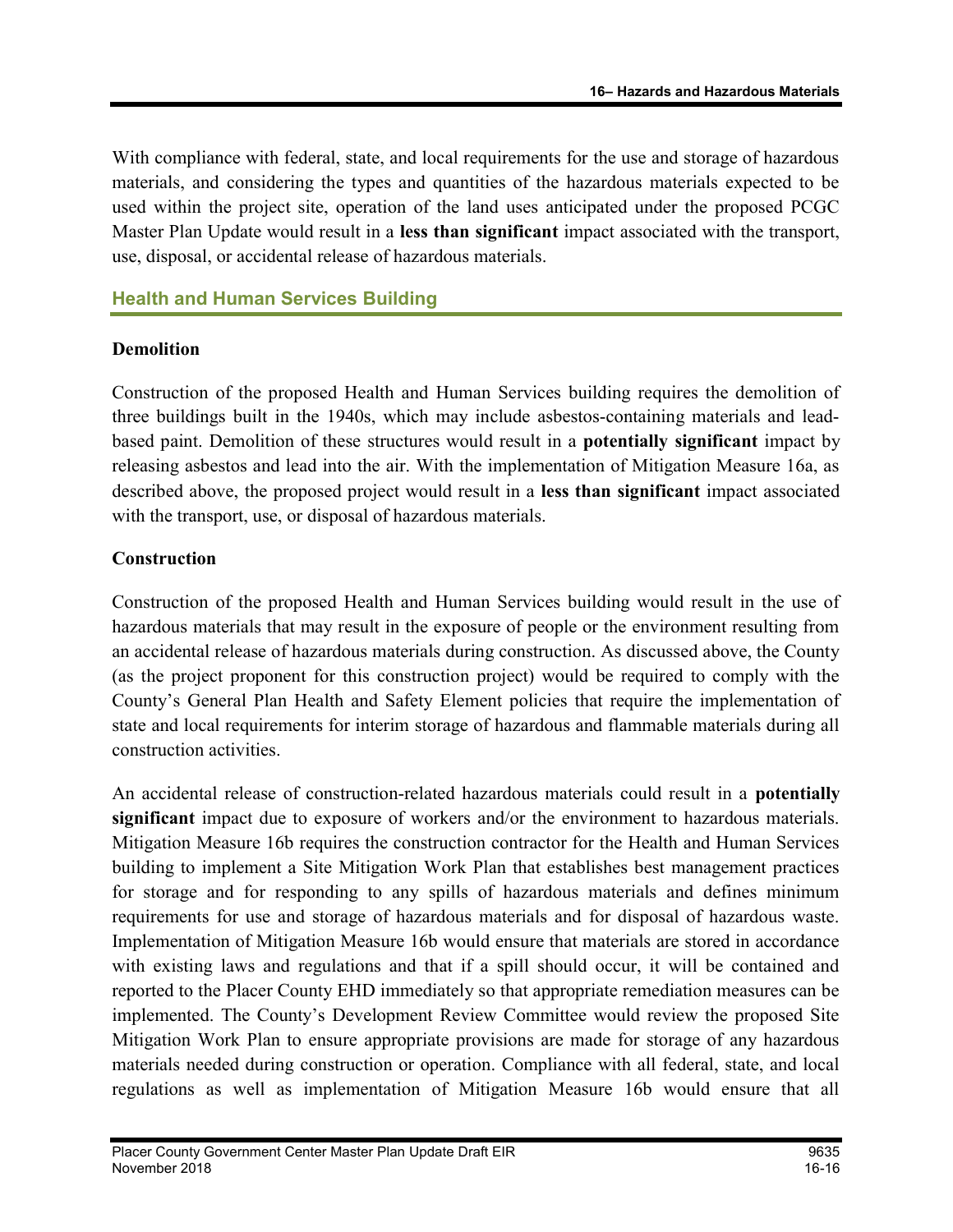With compliance with federal, state, and local requirements for the use and storage of hazardous materials, and considering the types and quantities of the hazardous materials expected to be used within the project site, operation of the land uses anticipated under the proposed PCGC Master Plan Update would result in a less than significant impact associated with the transport, use, disposal, or accidental release of hazardous materials.

## Health and Human Services Building

#### Demolition

Construction of the proposed Health and Human Services building requires the demolition of three buildings built in the 1940s, which may include asbestos-containing materials and leadbased paint. Demolition of these structures would result in a potentially significant impact by releasing asbestos and lead into the air. With the implementation of Mitigation Measure 16a, as described above, the proposed project would result in a less than significant impact associated with the transport, use, or disposal of hazardous materials.

#### Construction

Construction of the proposed Health and Human Services building would result in the use of hazardous materials that may result in the exposure of people or the environment resulting from an accidental release of hazardous materials during construction. As discussed above, the County (as the project proponent for this construction project) would be required to comply with the County's General Plan Health and Safety Element policies that require the implementation of state and local requirements for interim storage of hazardous and flammable materials during all construction activities.

An accidental release of construction-related hazardous materials could result in a potentially significant impact due to exposure of workers and/or the environment to hazardous materials. Mitigation Measure 16b requires the construction contractor for the Health and Human Services building to implement a Site Mitigation Work Plan that establishes best management practices for storage and for responding to any spills of hazardous materials and defines minimum requirements for use and storage of hazardous materials and for disposal of hazardous waste. Implementation of Mitigation Measure 16b would ensure that materials are stored in accordance with existing laws and regulations and that if a spill should occur, it will be contained and reported to the Placer County EHD immediately so that appropriate remediation measures can be implemented. The County's Development Review Committee would review the proposed Site Mitigation Work Plan to ensure appropriate provisions are made for storage of any hazardous materials needed during construction or operation. Compliance with all federal, state, and local regulations as well as implementation of Mitigation Measure 16b would ensure that all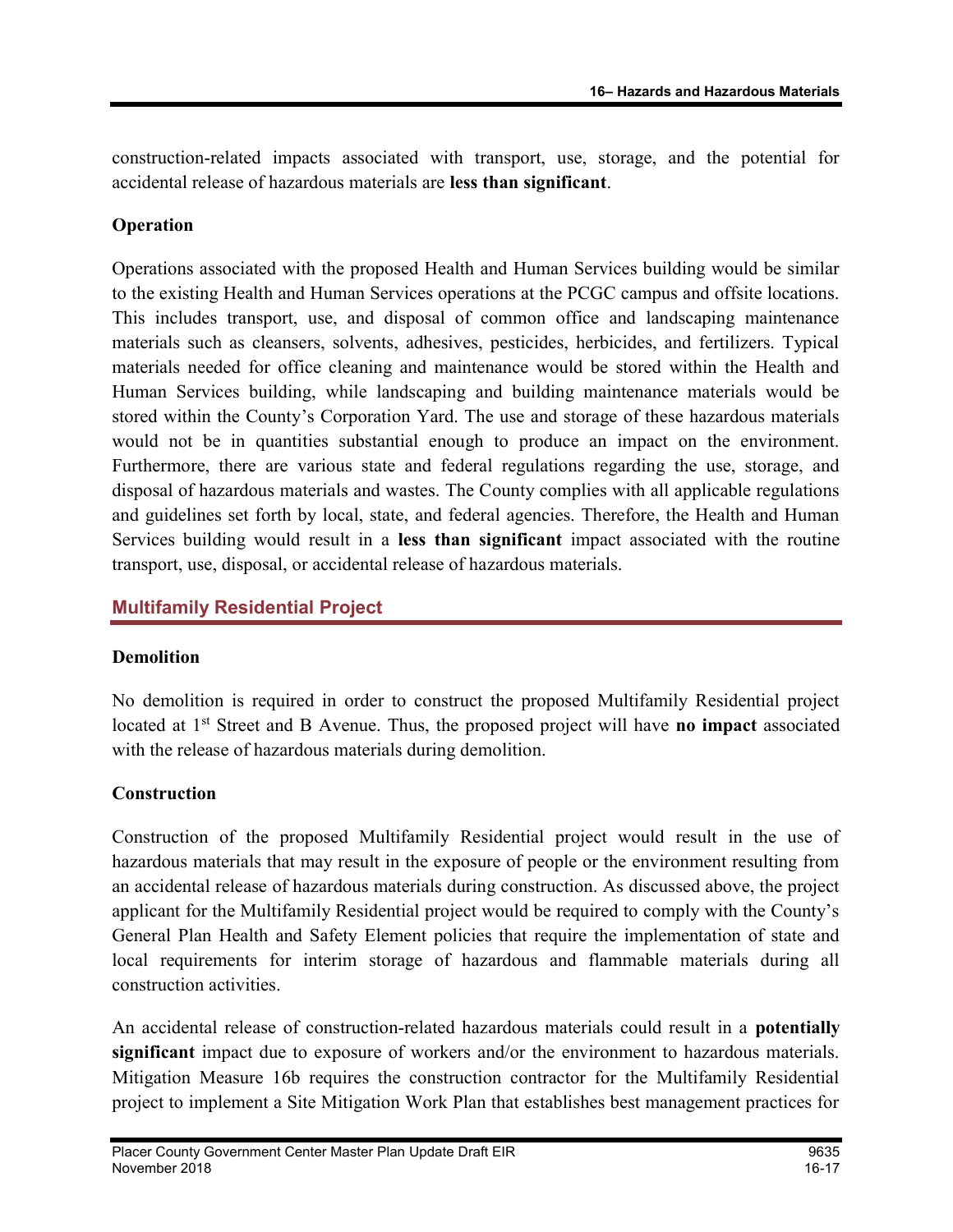construction-related impacts associated with transport, use, storage, and the potential for accidental release of hazardous materials are less than significant.

#### Operation

Operations associated with the proposed Health and Human Services building would be similar to the existing Health and Human Services operations at the PCGC campus and offsite locations. This includes transport, use, and disposal of common office and landscaping maintenance materials such as cleansers, solvents, adhesives, pesticides, herbicides, and fertilizers. Typical materials needed for office cleaning and maintenance would be stored within the Health and Human Services building, while landscaping and building maintenance materials would be stored within the County's Corporation Yard. The use and storage of these hazardous materials would not be in quantities substantial enough to produce an impact on the environment. Furthermore, there are various state and federal regulations regarding the use, storage, and disposal of hazardous materials and wastes. The County complies with all applicable regulations and guidelines set forth by local, state, and federal agencies. Therefore, the Health and Human Services building would result in a less than significant impact associated with the routine transport, use, disposal, or accidental release of hazardous materials.

## Multifamily Residential Project

#### **Demolition**

No demolition is required in order to construct the proposed Multifamily Residential project located at  $1<sup>st</sup>$  Street and B Avenue. Thus, the proposed project will have **no impact** associated with the release of hazardous materials during demolition.

## **Construction**

Construction of the proposed Multifamily Residential project would result in the use of hazardous materials that may result in the exposure of people or the environment resulting from an accidental release of hazardous materials during construction. As discussed above, the project applicant for the Multifamily Residential project would be required to comply with the County's General Plan Health and Safety Element policies that require the implementation of state and local requirements for interim storage of hazardous and flammable materials during all construction activities.

An accidental release of construction-related hazardous materials could result in a potentially significant impact due to exposure of workers and/or the environment to hazardous materials. Mitigation Measure 16b requires the construction contractor for the Multifamily Residential project to implement a Site Mitigation Work Plan that establishes best management practices for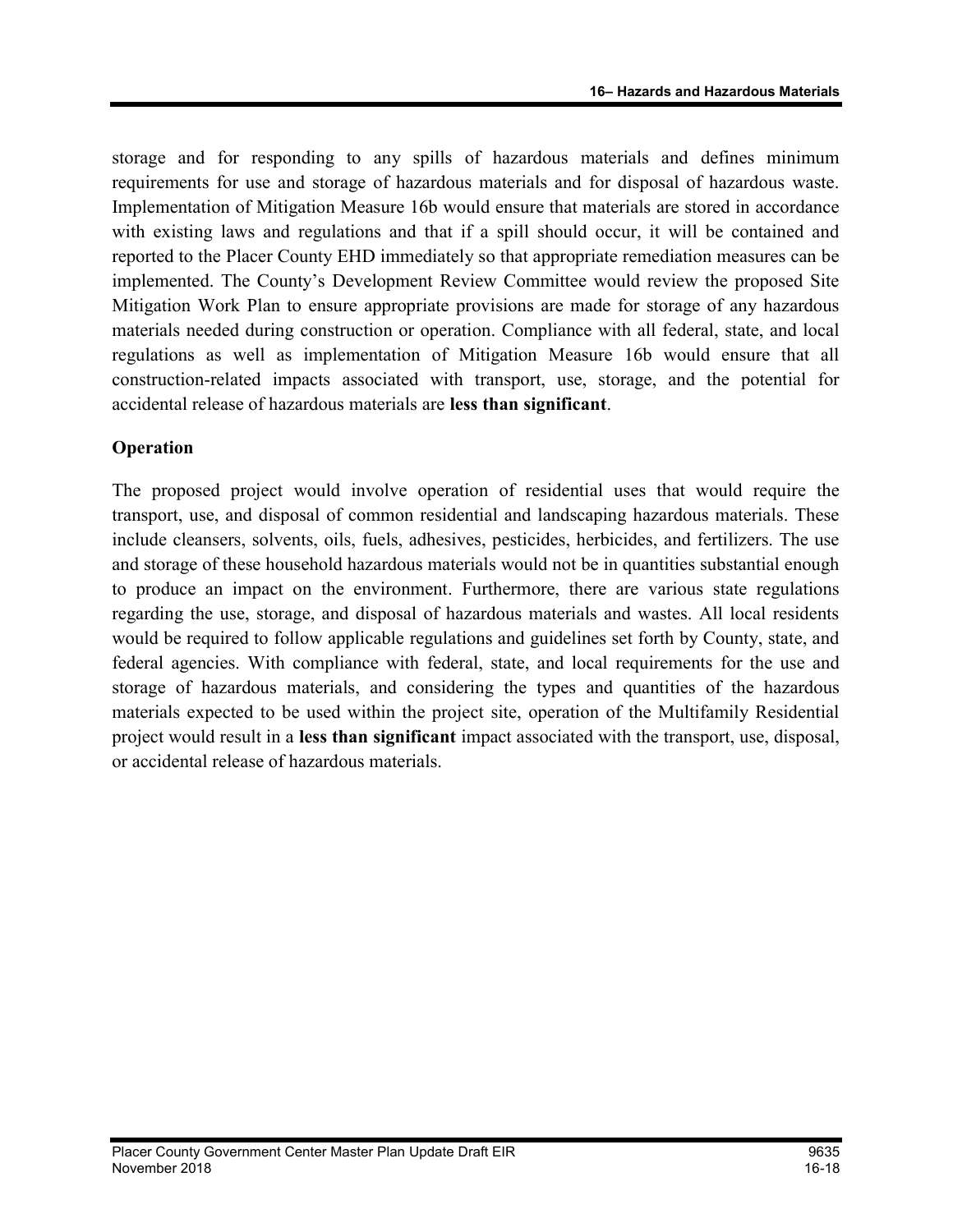storage and for responding to any spills of hazardous materials and defines minimum requirements for use and storage of hazardous materials and for disposal of hazardous waste. Implementation of Mitigation Measure 16b would ensure that materials are stored in accordance with existing laws and regulations and that if a spill should occur, it will be contained and reported to the Placer County EHD immediately so that appropriate remediation measures can be implemented. The County's Development Review Committee would review the proposed Site Mitigation Work Plan to ensure appropriate provisions are made for storage of any hazardous materials needed during construction or operation. Compliance with all federal, state, and local regulations as well as implementation of Mitigation Measure 16b would ensure that all construction-related impacts associated with transport, use, storage, and the potential for accidental release of hazardous materials are less than significant.

#### **Operation**

The proposed project would involve operation of residential uses that would require the transport, use, and disposal of common residential and landscaping hazardous materials. These include cleansers, solvents, oils, fuels, adhesives, pesticides, herbicides, and fertilizers. The use and storage of these household hazardous materials would not be in quantities substantial enough to produce an impact on the environment. Furthermore, there are various state regulations regarding the use, storage, and disposal of hazardous materials and wastes. All local residents would be required to follow applicable regulations and guidelines set forth by County, state, and federal agencies. With compliance with federal, state, and local requirements for the use and storage of hazardous materials, and considering the types and quantities of the hazardous materials expected to be used within the project site, operation of the Multifamily Residential project would result in a less than significant impact associated with the transport, use, disposal, or accidental release of hazardous materials.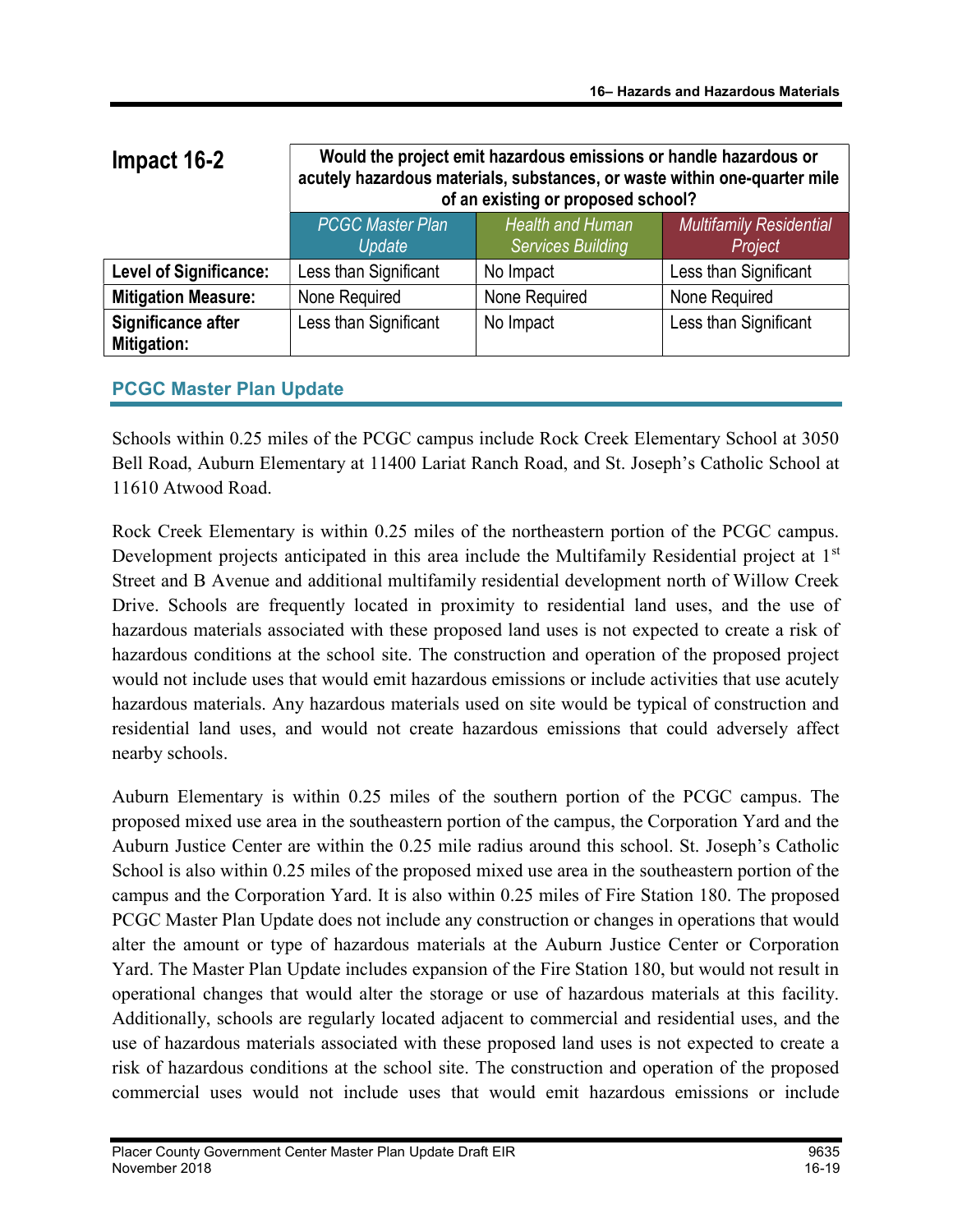| Impact 16-2                       | Would the project emit hazardous emissions or handle hazardous or<br>acutely hazardous materials, substances, or waste within one-quarter mile<br>of an existing or proposed school? |                                                     |                                           |
|-----------------------------------|--------------------------------------------------------------------------------------------------------------------------------------------------------------------------------------|-----------------------------------------------------|-------------------------------------------|
|                                   | <b>PCGC Master Plan</b><br>Update                                                                                                                                                    | <b>Health and Human</b><br><b>Services Building</b> | <b>Multifamily Residential</b><br>Project |
| <b>Level of Significance:</b>     | Less than Significant                                                                                                                                                                | No Impact                                           | Less than Significant                     |
| <b>Mitigation Measure:</b>        | None Required                                                                                                                                                                        | None Required                                       | None Required                             |
| Significance after<br>Mitigation: | Less than Significant                                                                                                                                                                | No Impact                                           | Less than Significant                     |

## PCGC Master Plan Update

Schools within 0.25 miles of the PCGC campus include Rock Creek Elementary School at 3050 Bell Road, Auburn Elementary at 11400 Lariat Ranch Road, and St. Joseph's Catholic School at 11610 Atwood Road.

Rock Creek Elementary is within 0.25 miles of the northeastern portion of the PCGC campus. Development projects anticipated in this area include the Multifamily Residential project at 1<sup>st</sup> Street and B Avenue and additional multifamily residential development north of Willow Creek Drive. Schools are frequently located in proximity to residential land uses, and the use of hazardous materials associated with these proposed land uses is not expected to create a risk of hazardous conditions at the school site. The construction and operation of the proposed project would not include uses that would emit hazardous emissions or include activities that use acutely hazardous materials. Any hazardous materials used on site would be typical of construction and residential land uses, and would not create hazardous emissions that could adversely affect nearby schools.

Auburn Elementary is within 0.25 miles of the southern portion of the PCGC campus. The proposed mixed use area in the southeastern portion of the campus, the Corporation Yard and the Auburn Justice Center are within the 0.25 mile radius around this school. St. Joseph's Catholic School is also within 0.25 miles of the proposed mixed use area in the southeastern portion of the campus and the Corporation Yard. It is also within 0.25 miles of Fire Station 180. The proposed PCGC Master Plan Update does not include any construction or changes in operations that would alter the amount or type of hazardous materials at the Auburn Justice Center or Corporation Yard. The Master Plan Update includes expansion of the Fire Station 180, but would not result in operational changes that would alter the storage or use of hazardous materials at this facility. Additionally, schools are regularly located adjacent to commercial and residential uses, and the use of hazardous materials associated with these proposed land uses is not expected to create a risk of hazardous conditions at the school site. The construction and operation of the proposed commercial uses would not include uses that would emit hazardous emissions or include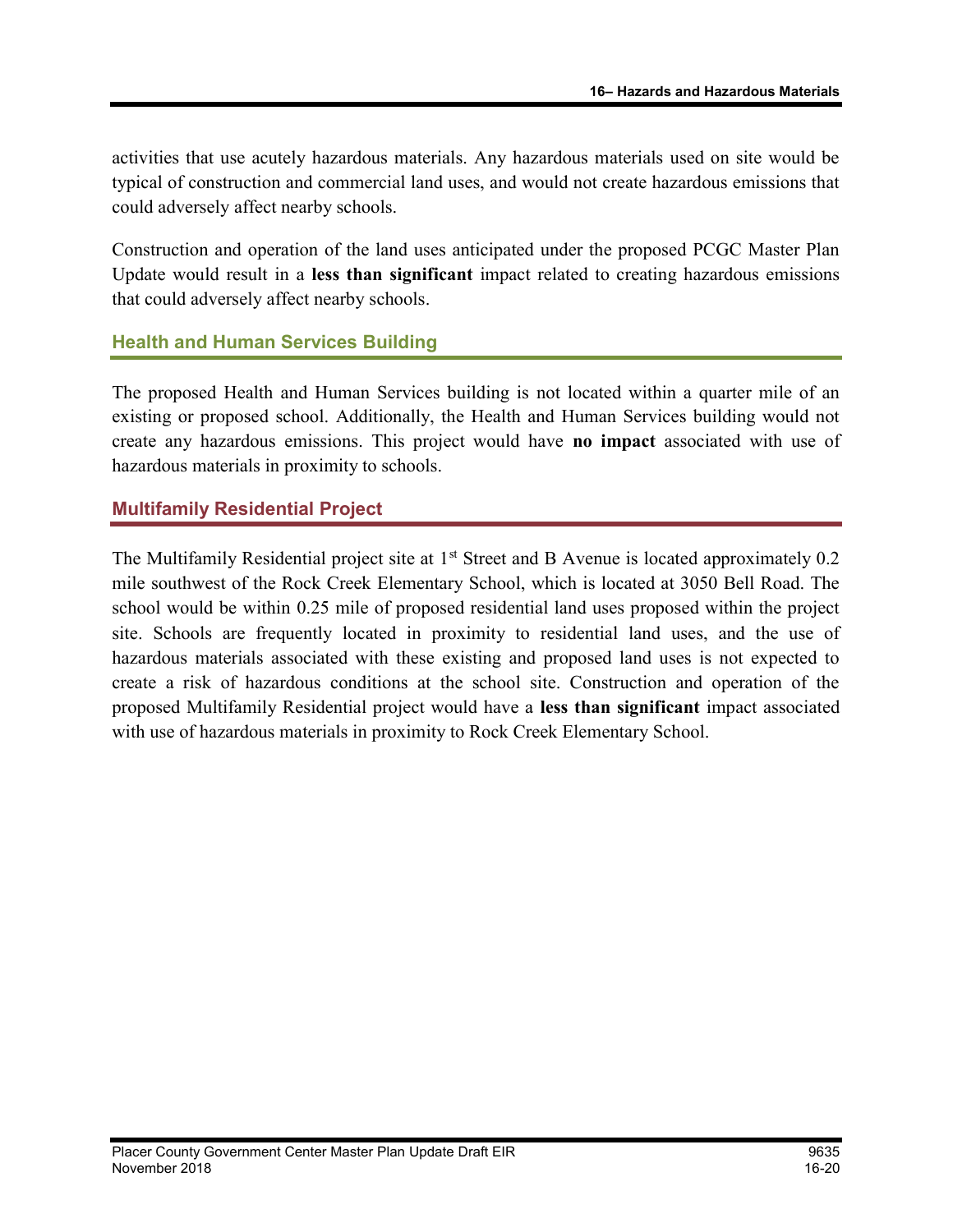activities that use acutely hazardous materials. Any hazardous materials used on site would be typical of construction and commercial land uses, and would not create hazardous emissions that could adversely affect nearby schools.

Construction and operation of the land uses anticipated under the proposed PCGC Master Plan Update would result in a less than significant impact related to creating hazardous emissions that could adversely affect nearby schools.

## Health and Human Services Building

The proposed Health and Human Services building is not located within a quarter mile of an existing or proposed school. Additionally, the Health and Human Services building would not create any hazardous emissions. This project would have no impact associated with use of hazardous materials in proximity to schools.

#### Multifamily Residential Project

The Multifamily Residential project site at  $1<sup>st</sup>$  Street and B Avenue is located approximately 0.2 mile southwest of the Rock Creek Elementary School, which is located at 3050 Bell Road. The school would be within 0.25 mile of proposed residential land uses proposed within the project site. Schools are frequently located in proximity to residential land uses, and the use of hazardous materials associated with these existing and proposed land uses is not expected to create a risk of hazardous conditions at the school site. Construction and operation of the proposed Multifamily Residential project would have a less than significant impact associated with use of hazardous materials in proximity to Rock Creek Elementary School.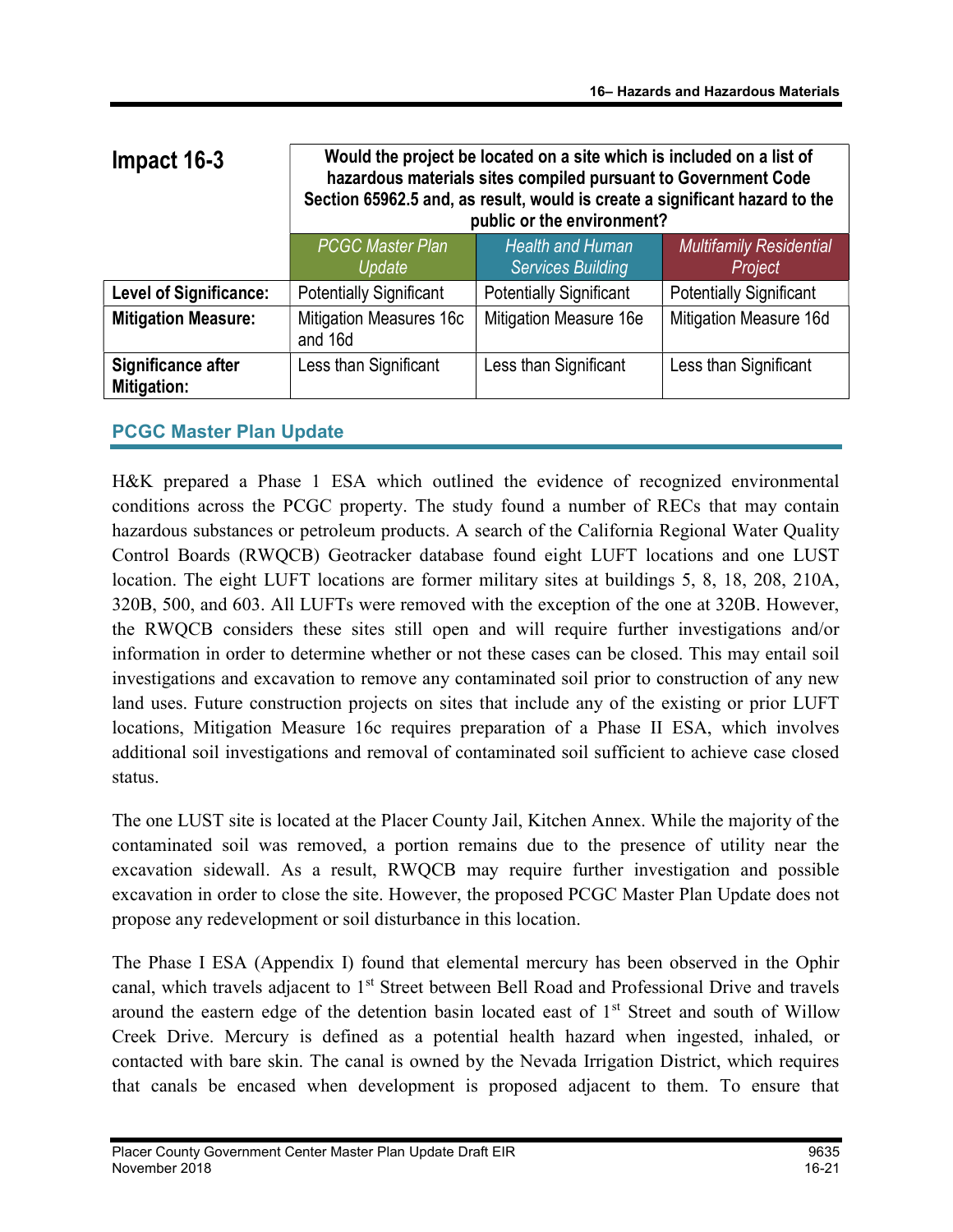| Impact 16-3                       | Would the project be located on a site which is included on a list of<br>hazardous materials sites compiled pursuant to Government Code<br>Section 65962.5 and, as result, would is create a significant hazard to the<br>public or the environment? |                                                     |                                           |
|-----------------------------------|------------------------------------------------------------------------------------------------------------------------------------------------------------------------------------------------------------------------------------------------------|-----------------------------------------------------|-------------------------------------------|
|                                   | <b>PCGC Master Plan</b><br>Update                                                                                                                                                                                                                    | <b>Health and Human</b><br><b>Services Building</b> | <b>Multifamily Residential</b><br>Project |
| <b>Level of Significance:</b>     | <b>Potentially Significant</b>                                                                                                                                                                                                                       | <b>Potentially Significant</b>                      | <b>Potentially Significant</b>            |
| <b>Mitigation Measure:</b>        | <b>Mitigation Measures 16c</b><br>and 16d                                                                                                                                                                                                            | Mitigation Measure 16e                              | Mitigation Measure 16d                    |
| Significance after<br>Mitigation: | Less than Significant                                                                                                                                                                                                                                | Less than Significant                               | Less than Significant                     |

## PCGC Master Plan Update

H&K prepared a Phase 1 ESA which outlined the evidence of recognized environmental conditions across the PCGC property. The study found a number of RECs that may contain hazardous substances or petroleum products. A search of the California Regional Water Quality Control Boards (RWQCB) Geotracker database found eight LUFT locations and one LUST location. The eight LUFT locations are former military sites at buildings 5, 8, 18, 208, 210A, 320B, 500, and 603. All LUFTs were removed with the exception of the one at 320B. However, the RWQCB considers these sites still open and will require further investigations and/or information in order to determine whether or not these cases can be closed. This may entail soil investigations and excavation to remove any contaminated soil prior to construction of any new land uses. Future construction projects on sites that include any of the existing or prior LUFT locations, Mitigation Measure 16c requires preparation of a Phase II ESA, which involves additional soil investigations and removal of contaminated soil sufficient to achieve case closed status.

The one LUST site is located at the Placer County Jail, Kitchen Annex. While the majority of the contaminated soil was removed, a portion remains due to the presence of utility near the excavation sidewall. As a result, RWQCB may require further investigation and possible excavation in order to close the site. However, the proposed PCGC Master Plan Update does not propose any redevelopment or soil disturbance in this location.

The Phase I ESA (Appendix I) found that elemental mercury has been observed in the Ophir canal, which travels adjacent to 1<sup>st</sup> Street between Bell Road and Professional Drive and travels around the eastern edge of the detention basin located east of 1<sup>st</sup> Street and south of Willow Creek Drive. Mercury is defined as a potential health hazard when ingested, inhaled, or contacted with bare skin. The canal is owned by the Nevada Irrigation District, which requires that canals be encased when development is proposed adjacent to them. To ensure that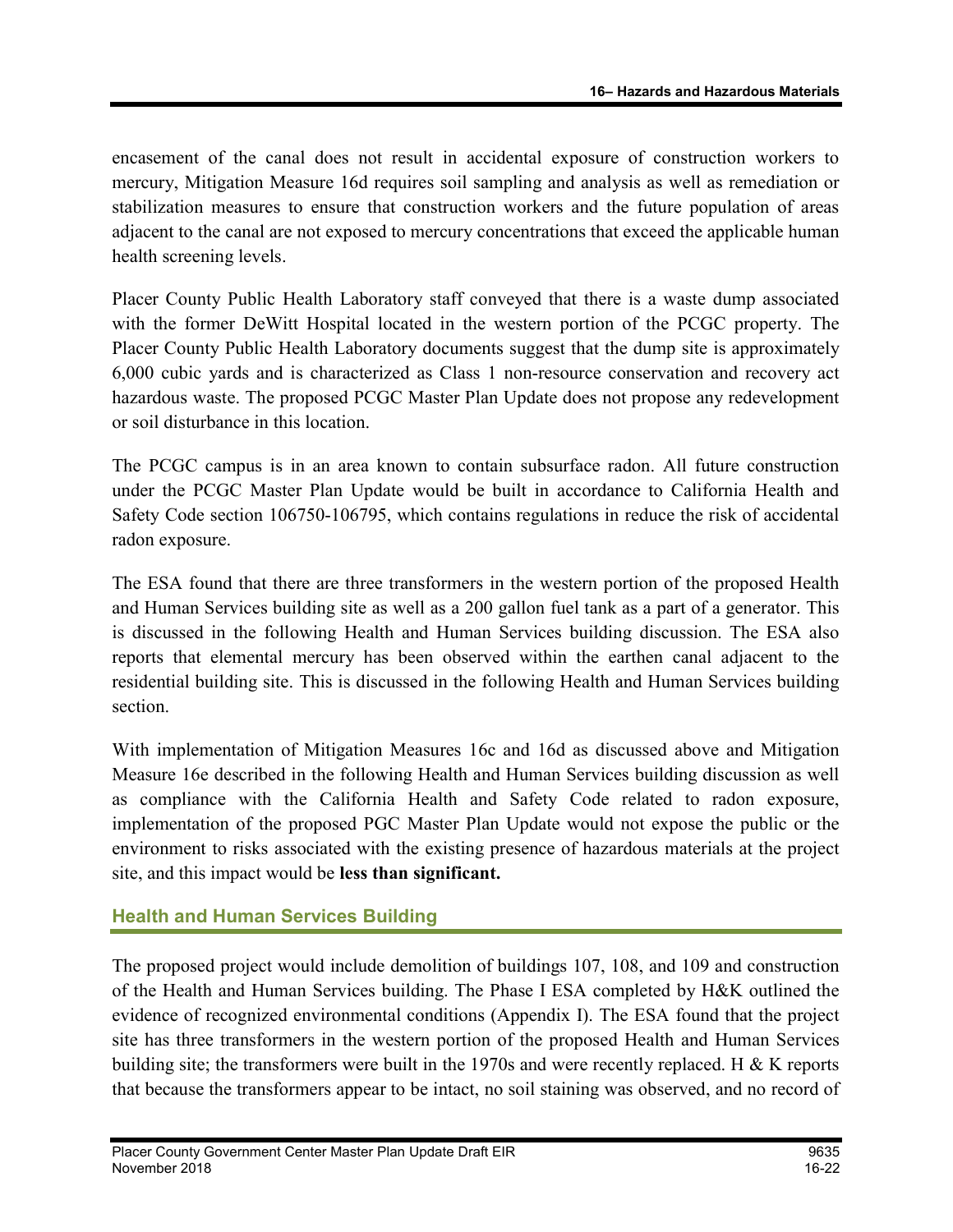encasement of the canal does not result in accidental exposure of construction workers to mercury, Mitigation Measure 16d requires soil sampling and analysis as well as remediation or stabilization measures to ensure that construction workers and the future population of areas adjacent to the canal are not exposed to mercury concentrations that exceed the applicable human health screening levels.

Placer County Public Health Laboratory staff conveyed that there is a waste dump associated with the former DeWitt Hospital located in the western portion of the PCGC property. The Placer County Public Health Laboratory documents suggest that the dump site is approximately 6,000 cubic yards and is characterized as Class 1 non-resource conservation and recovery act hazardous waste. The proposed PCGC Master Plan Update does not propose any redevelopment or soil disturbance in this location.

The PCGC campus is in an area known to contain subsurface radon. All future construction under the PCGC Master Plan Update would be built in accordance to California Health and Safety Code section 106750-106795, which contains regulations in reduce the risk of accidental radon exposure.

The ESA found that there are three transformers in the western portion of the proposed Health and Human Services building site as well as a 200 gallon fuel tank as a part of a generator. This is discussed in the following Health and Human Services building discussion. The ESA also reports that elemental mercury has been observed within the earthen canal adjacent to the residential building site. This is discussed in the following Health and Human Services building section.

With implementation of Mitigation Measures 16c and 16d as discussed above and Mitigation Measure 16e described in the following Health and Human Services building discussion as well as compliance with the California Health and Safety Code related to radon exposure, implementation of the proposed PGC Master Plan Update would not expose the public or the environment to risks associated with the existing presence of hazardous materials at the project site, and this impact would be less than significant.

## Health and Human Services Building

The proposed project would include demolition of buildings 107, 108, and 109 and construction of the Health and Human Services building. The Phase I ESA completed by H&K outlined the evidence of recognized environmental conditions (Appendix I). The ESA found that the project site has three transformers in the western portion of the proposed Health and Human Services building site; the transformers were built in the 1970s and were recently replaced. H & K reports that because the transformers appear to be intact, no soil staining was observed, and no record of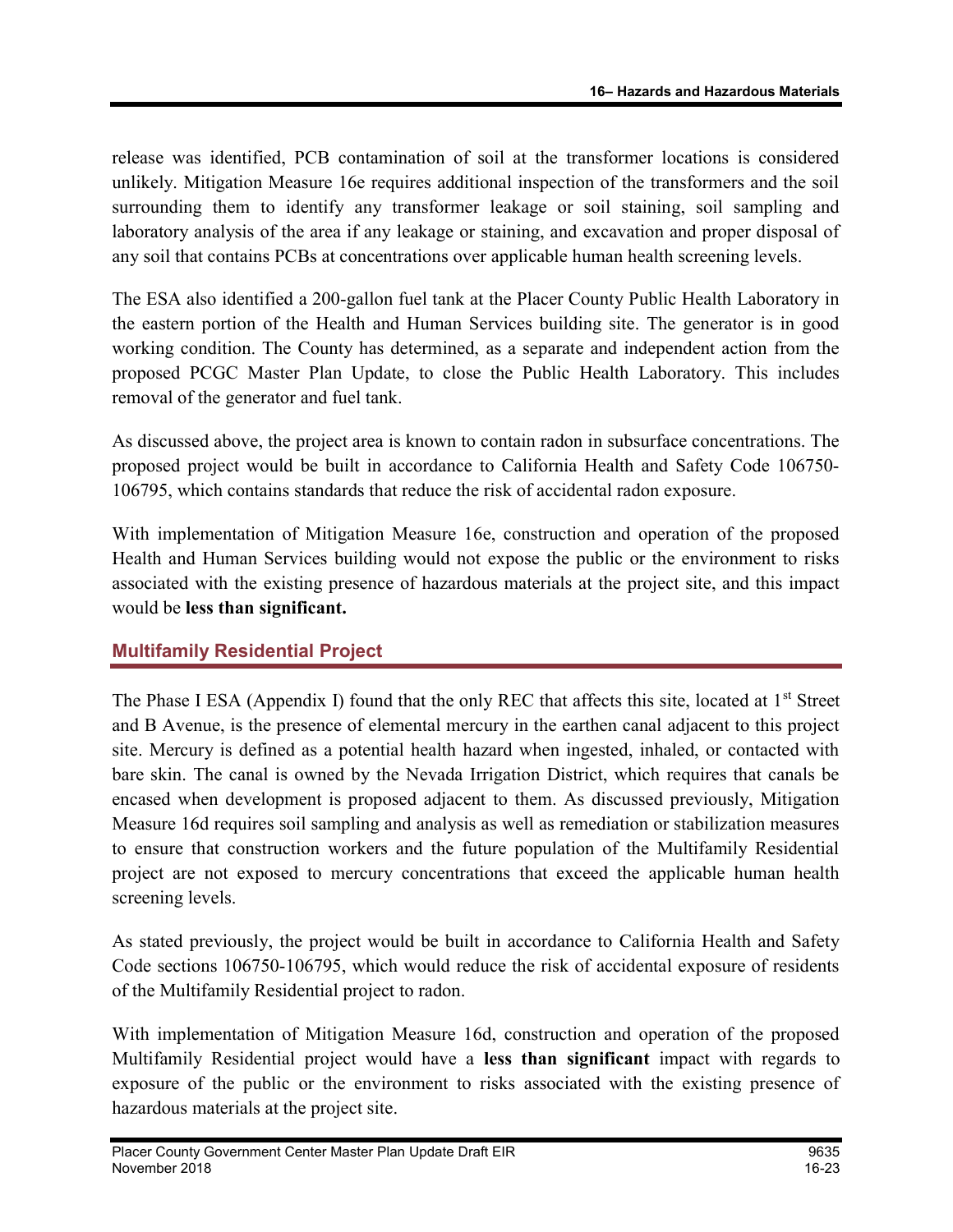release was identified, PCB contamination of soil at the transformer locations is considered unlikely. Mitigation Measure 16e requires additional inspection of the transformers and the soil surrounding them to identify any transformer leakage or soil staining, soil sampling and laboratory analysis of the area if any leakage or staining, and excavation and proper disposal of any soil that contains PCBs at concentrations over applicable human health screening levels.

The ESA also identified a 200-gallon fuel tank at the Placer County Public Health Laboratory in the eastern portion of the Health and Human Services building site. The generator is in good working condition. The County has determined, as a separate and independent action from the proposed PCGC Master Plan Update, to close the Public Health Laboratory. This includes removal of the generator and fuel tank.

As discussed above, the project area is known to contain radon in subsurface concentrations. The proposed project would be built in accordance to California Health and Safety Code 106750- 106795, which contains standards that reduce the risk of accidental radon exposure.

With implementation of Mitigation Measure 16e, construction and operation of the proposed Health and Human Services building would not expose the public or the environment to risks associated with the existing presence of hazardous materials at the project site, and this impact would be less than significant.

## Multifamily Residential Project

The Phase I ESA (Appendix I) found that the only REC that affects this site, located at 1<sup>st</sup> Street and B Avenue, is the presence of elemental mercury in the earthen canal adjacent to this project site. Mercury is defined as a potential health hazard when ingested, inhaled, or contacted with bare skin. The canal is owned by the Nevada Irrigation District, which requires that canals be encased when development is proposed adjacent to them. As discussed previously, Mitigation Measure 16d requires soil sampling and analysis as well as remediation or stabilization measures to ensure that construction workers and the future population of the Multifamily Residential project are not exposed to mercury concentrations that exceed the applicable human health screening levels.

As stated previously, the project would be built in accordance to California Health and Safety Code sections 106750-106795, which would reduce the risk of accidental exposure of residents of the Multifamily Residential project to radon.

With implementation of Mitigation Measure 16d, construction and operation of the proposed Multifamily Residential project would have a less than significant impact with regards to exposure of the public or the environment to risks associated with the existing presence of hazardous materials at the project site.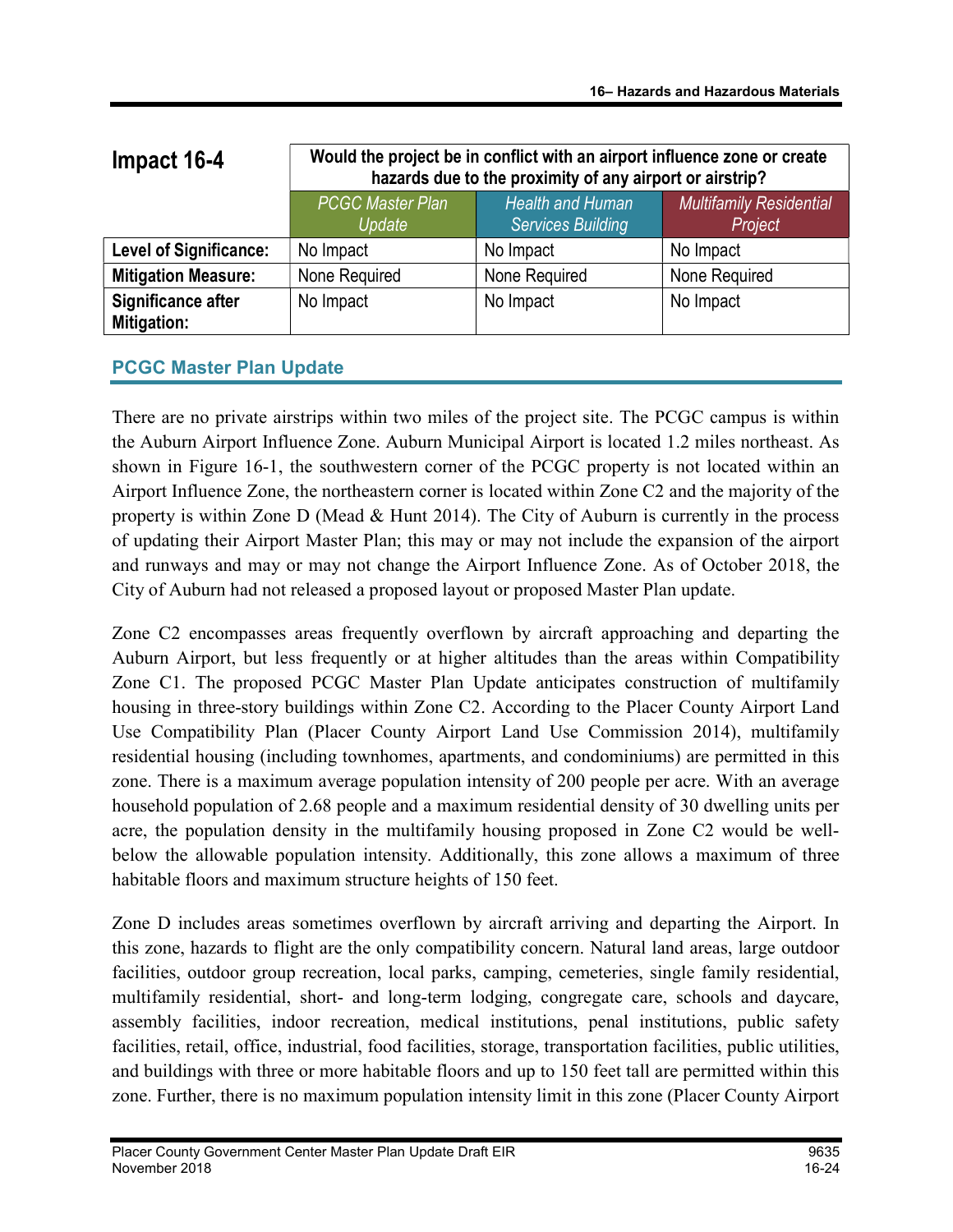| Impact 16-4                       | Would the project be in conflict with an airport influence zone or create<br>hazards due to the proximity of any airport or airstrip? |                                                     |                                           |
|-----------------------------------|---------------------------------------------------------------------------------------------------------------------------------------|-----------------------------------------------------|-------------------------------------------|
|                                   | <b>PCGC Master Plan</b><br>Update                                                                                                     | <b>Health and Human</b><br><b>Services Building</b> | <b>Multifamily Residential</b><br>Project |
| <b>Level of Significance:</b>     | No Impact                                                                                                                             | No Impact                                           | No Impact                                 |
| <b>Mitigation Measure:</b>        | None Required                                                                                                                         | None Required                                       | None Required                             |
| Significance after<br>Mitigation: | No Impact                                                                                                                             | No Impact                                           | No Impact                                 |

## PCGC Master Plan Update

There are no private airstrips within two miles of the project site. The PCGC campus is within the Auburn Airport Influence Zone. Auburn Municipal Airport is located 1.2 miles northeast. As shown in Figure 16-1, the southwestern corner of the PCGC property is not located within an Airport Influence Zone, the northeastern corner is located within Zone C2 and the majority of the property is within Zone D (Mead & Hunt 2014). The City of Auburn is currently in the process of updating their Airport Master Plan; this may or may not include the expansion of the airport and runways and may or may not change the Airport Influence Zone. As of October 2018, the City of Auburn had not released a proposed layout or proposed Master Plan update.

Zone C2 encompasses areas frequently overflown by aircraft approaching and departing the Auburn Airport, but less frequently or at higher altitudes than the areas within Compatibility Zone C1. The proposed PCGC Master Plan Update anticipates construction of multifamily housing in three-story buildings within Zone C2. According to the Placer County Airport Land Use Compatibility Plan (Placer County Airport Land Use Commission 2014), multifamily residential housing (including townhomes, apartments, and condominiums) are permitted in this zone. There is a maximum average population intensity of 200 people per acre. With an average household population of 2.68 people and a maximum residential density of 30 dwelling units per acre, the population density in the multifamily housing proposed in Zone C2 would be wellbelow the allowable population intensity. Additionally, this zone allows a maximum of three habitable floors and maximum structure heights of 150 feet.

Zone D includes areas sometimes overflown by aircraft arriving and departing the Airport. In this zone, hazards to flight are the only compatibility concern. Natural land areas, large outdoor facilities, outdoor group recreation, local parks, camping, cemeteries, single family residential, multifamily residential, short- and long-term lodging, congregate care, schools and daycare, assembly facilities, indoor recreation, medical institutions, penal institutions, public safety facilities, retail, office, industrial, food facilities, storage, transportation facilities, public utilities, and buildings with three or more habitable floors and up to 150 feet tall are permitted within this zone. Further, there is no maximum population intensity limit in this zone (Placer County Airport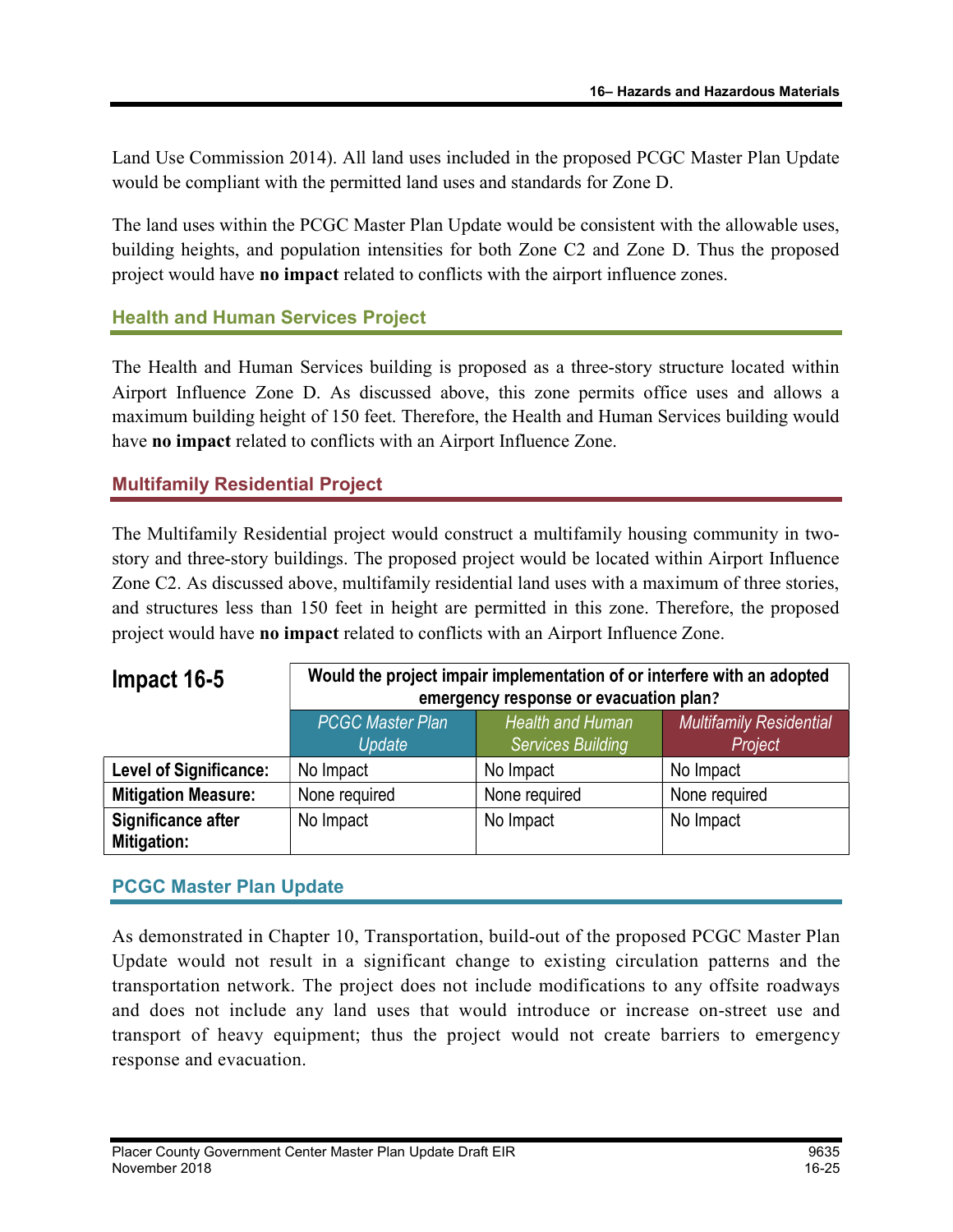Land Use Commission 2014). All land uses included in the proposed PCGC Master Plan Update would be compliant with the permitted land uses and standards for Zone D.

The land uses within the PCGC Master Plan Update would be consistent with the allowable uses, building heights, and population intensities for both Zone C2 and Zone D. Thus the proposed project would have no impact related to conflicts with the airport influence zones.

## Health and Human Services Project

The Health and Human Services building is proposed as a three-story structure located within Airport Influence Zone D. As discussed above, this zone permits office uses and allows a maximum building height of 150 feet. Therefore, the Health and Human Services building would have no impact related to conflicts with an Airport Influence Zone.

## Multifamily Residential Project

The Multifamily Residential project would construct a multifamily housing community in twostory and three-story buildings. The proposed project would be located within Airport Influence Zone C2. As discussed above, multifamily residential land uses with a maximum of three stories, and structures less than 150 feet in height are permitted in this zone. Therefore, the proposed project would have no impact related to conflicts with an Airport Influence Zone.

| Impact 16-5                       | Would the project impair implementation of or interfere with an adopted<br>emergency response or evacuation plan? |                                                     |                                           |
|-----------------------------------|-------------------------------------------------------------------------------------------------------------------|-----------------------------------------------------|-------------------------------------------|
|                                   | <b>PCGC Master Plan</b><br>Update                                                                                 | <b>Health and Human</b><br><b>Services Building</b> | <b>Multifamily Residential</b><br>Project |
| <b>Level of Significance:</b>     | No Impact                                                                                                         | No Impact                                           | No Impact                                 |
| <b>Mitigation Measure:</b>        | None required                                                                                                     | None required                                       | None required                             |
| Significance after<br>Mitigation: | No Impact                                                                                                         | No Impact                                           | No Impact                                 |

## PCGC Master Plan Update

As demonstrated in Chapter 10, Transportation, build-out of the proposed PCGC Master Plan Update would not result in a significant change to existing circulation patterns and the transportation network. The project does not include modifications to any offsite roadways and does not include any land uses that would introduce or increase on-street use and transport of heavy equipment; thus the project would not create barriers to emergency response and evacuation.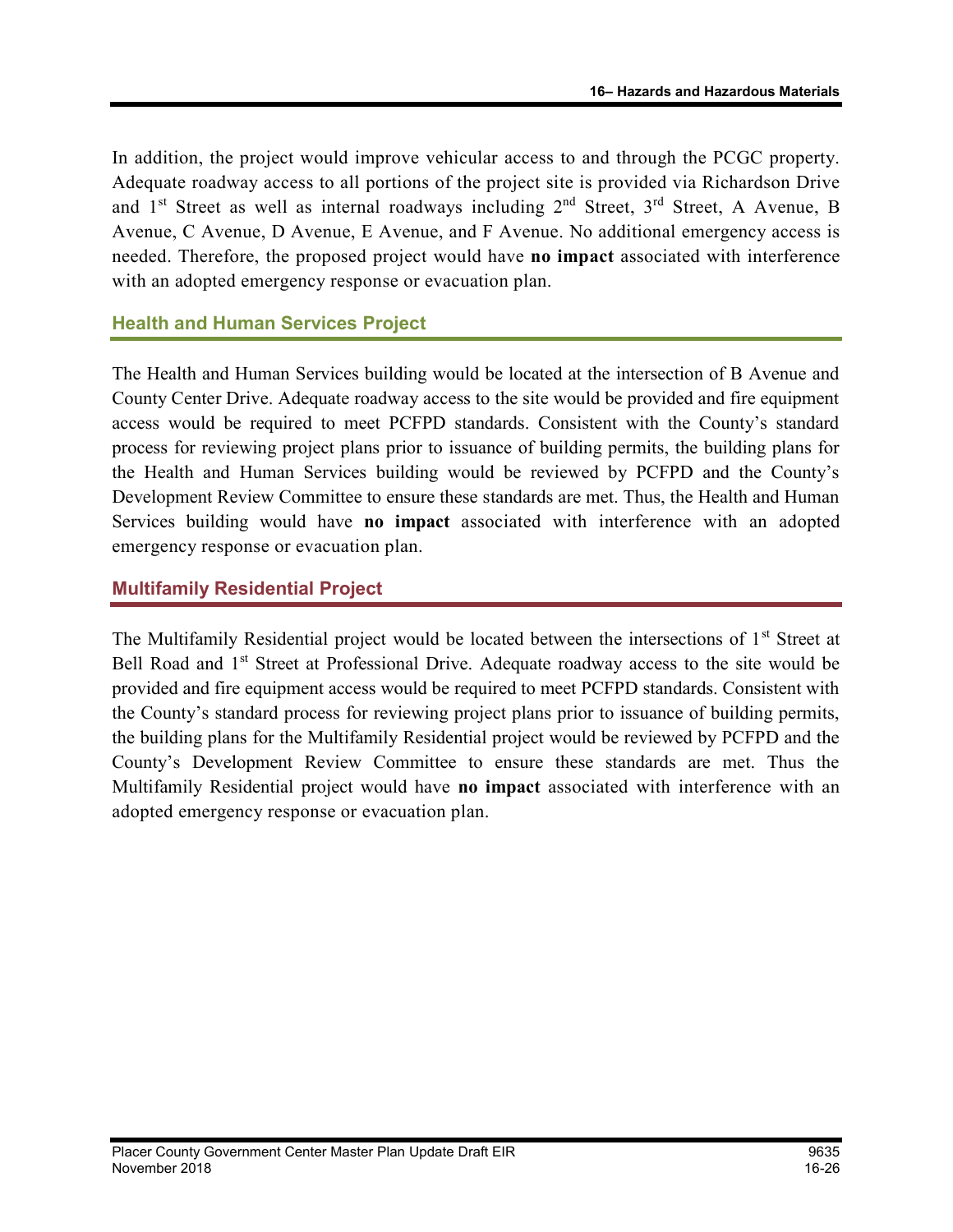In addition, the project would improve vehicular access to and through the PCGC property. Adequate roadway access to all portions of the project site is provided via Richardson Drive and  $1<sup>st</sup>$  Street as well as internal roadways including  $2<sup>nd</sup>$  Street,  $3<sup>rd</sup>$  Street, A Avenue, B Avenue, C Avenue, D Avenue, E Avenue, and F Avenue. No additional emergency access is needed. Therefore, the proposed project would have no impact associated with interference with an adopted emergency response or evacuation plan.

## Health and Human Services Project

The Health and Human Services building would be located at the intersection of B Avenue and County Center Drive. Adequate roadway access to the site would be provided and fire equipment access would be required to meet PCFPD standards. Consistent with the County's standard process for reviewing project plans prior to issuance of building permits, the building plans for the Health and Human Services building would be reviewed by PCFPD and the County's Development Review Committee to ensure these standards are met. Thus, the Health and Human Services building would have no impact associated with interference with an adopted emergency response or evacuation plan.

## Multifamily Residential Project

The Multifamily Residential project would be located between the intersections of 1<sup>st</sup> Street at Bell Road and 1<sup>st</sup> Street at Professional Drive. Adequate roadway access to the site would be provided and fire equipment access would be required to meet PCFPD standards. Consistent with the County's standard process for reviewing project plans prior to issuance of building permits, the building plans for the Multifamily Residential project would be reviewed by PCFPD and the County's Development Review Committee to ensure these standards are met. Thus the Multifamily Residential project would have no impact associated with interference with an adopted emergency response or evacuation plan.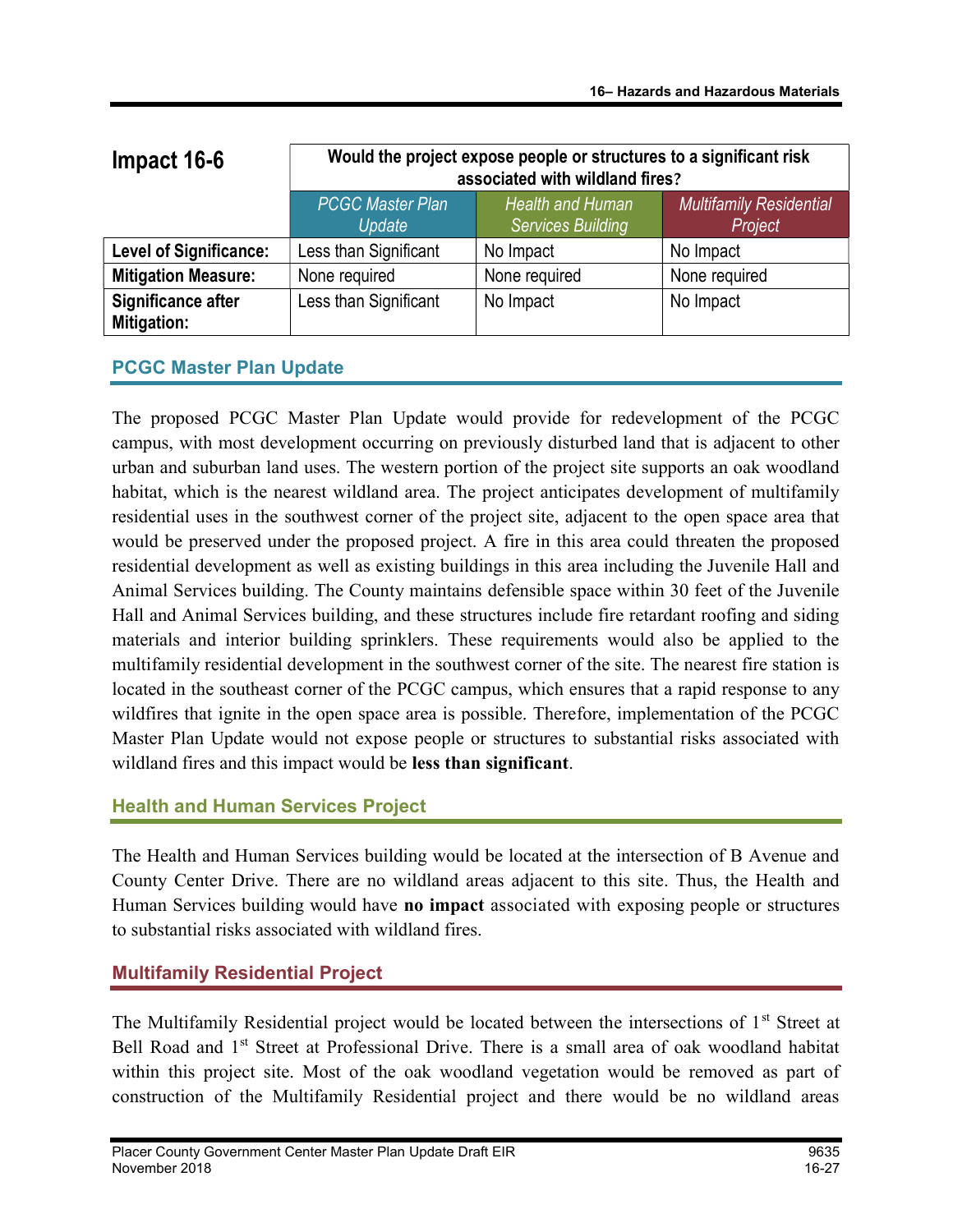| Impact 16-6                       | Would the project expose people or structures to a significant risk<br>associated with wildland fires? |                                              |                                           |
|-----------------------------------|--------------------------------------------------------------------------------------------------------|----------------------------------------------|-------------------------------------------|
|                                   | <b>PCGC Master Plan</b><br>Update                                                                      | Health and Human<br><b>Services Building</b> | <b>Multifamily Residential</b><br>Project |
| <b>Level of Significance:</b>     | Less than Significant                                                                                  | No Impact                                    | No Impact                                 |
| <b>Mitigation Measure:</b>        | None required                                                                                          | None required                                | None required                             |
| Significance after<br>Mitigation: | Less than Significant                                                                                  | No Impact                                    | No Impact                                 |

## PCGC Master Plan Update

The proposed PCGC Master Plan Update would provide for redevelopment of the PCGC campus, with most development occurring on previously disturbed land that is adjacent to other urban and suburban land uses. The western portion of the project site supports an oak woodland habitat, which is the nearest wildland area. The project anticipates development of multifamily residential uses in the southwest corner of the project site, adjacent to the open space area that would be preserved under the proposed project. A fire in this area could threaten the proposed residential development as well as existing buildings in this area including the Juvenile Hall and Animal Services building. The County maintains defensible space within 30 feet of the Juvenile Hall and Animal Services building, and these structures include fire retardant roofing and siding materials and interior building sprinklers. These requirements would also be applied to the multifamily residential development in the southwest corner of the site. The nearest fire station is located in the southeast corner of the PCGC campus, which ensures that a rapid response to any wildfires that ignite in the open space area is possible. Therefore, implementation of the PCGC Master Plan Update would not expose people or structures to substantial risks associated with wildland fires and this impact would be less than significant.

## Health and Human Services Project

The Health and Human Services building would be located at the intersection of B Avenue and County Center Drive. There are no wildland areas adjacent to this site. Thus, the Health and Human Services building would have no impact associated with exposing people or structures to substantial risks associated with wildland fires.

## Multifamily Residential Project

The Multifamily Residential project would be located between the intersections of 1<sup>st</sup> Street at Bell Road and 1<sup>st</sup> Street at Professional Drive. There is a small area of oak woodland habitat within this project site. Most of the oak woodland vegetation would be removed as part of construction of the Multifamily Residential project and there would be no wildland areas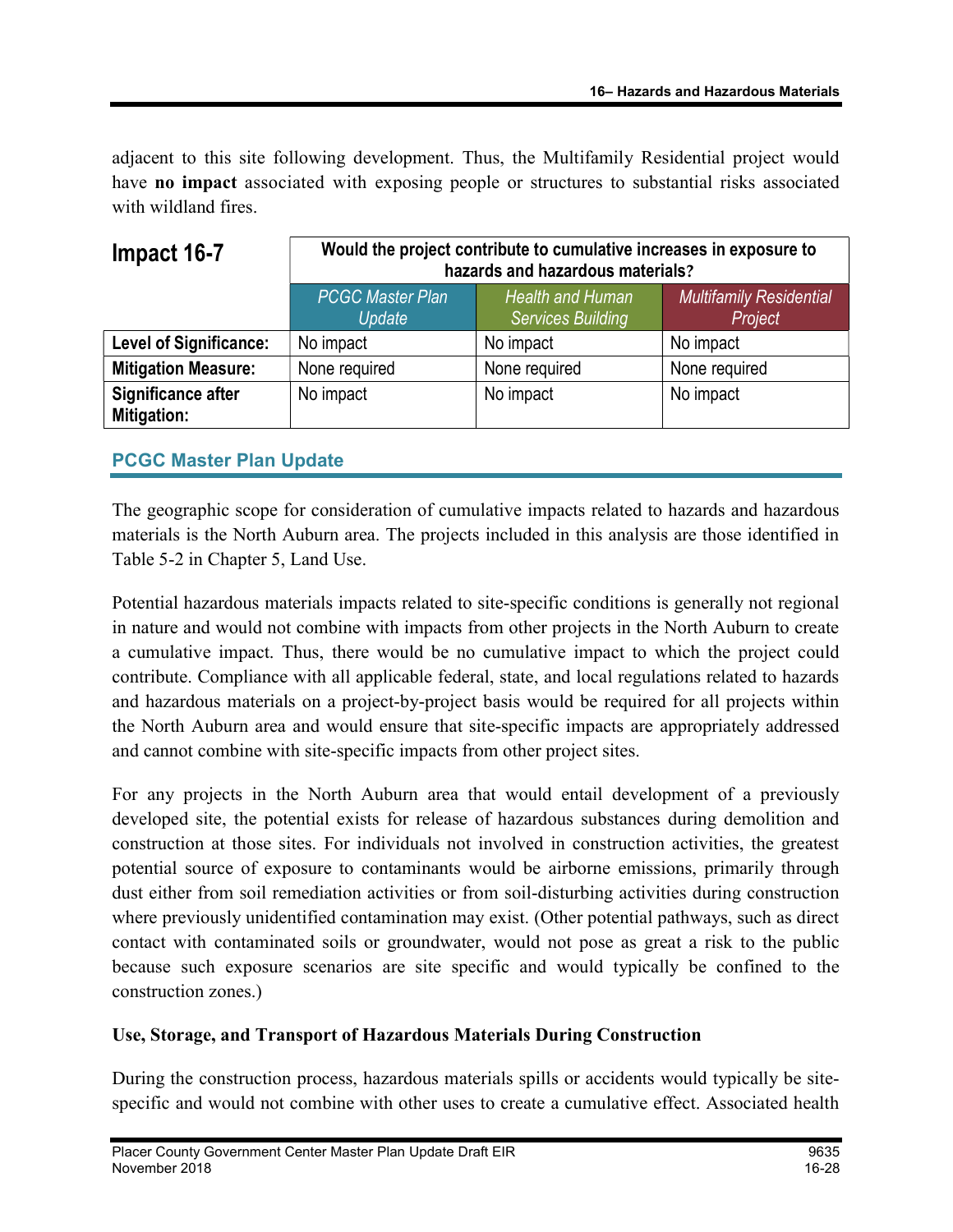adjacent to this site following development. Thus, the Multifamily Residential project would have no impact associated with exposing people or structures to substantial risks associated with wildland fires.

| Impact 16-7                       | Would the project contribute to cumulative increases in exposure to<br>hazards and hazardous materials? |                                                     |                                           |
|-----------------------------------|---------------------------------------------------------------------------------------------------------|-----------------------------------------------------|-------------------------------------------|
|                                   | <b>PCGC Master Plan</b><br>Update                                                                       | <b>Health and Human</b><br><b>Services Building</b> | <b>Multifamily Residential</b><br>Project |
| <b>Level of Significance:</b>     | No impact                                                                                               | No impact                                           | No impact                                 |
| <b>Mitigation Measure:</b>        | None required                                                                                           | None required                                       | None required                             |
| Significance after<br>Mitigation: | No impact                                                                                               | No impact                                           | No impact                                 |

## PCGC Master Plan Update

The geographic scope for consideration of cumulative impacts related to hazards and hazardous materials is the North Auburn area. The projects included in this analysis are those identified in Table 5-2 in Chapter 5, Land Use.

Potential hazardous materials impacts related to site-specific conditions is generally not regional in nature and would not combine with impacts from other projects in the North Auburn to create a cumulative impact. Thus, there would be no cumulative impact to which the project could contribute. Compliance with all applicable federal, state, and local regulations related to hazards and hazardous materials on a project-by-project basis would be required for all projects within the North Auburn area and would ensure that site-specific impacts are appropriately addressed and cannot combine with site-specific impacts from other project sites.

For any projects in the North Auburn area that would entail development of a previously developed site, the potential exists for release of hazardous substances during demolition and construction at those sites. For individuals not involved in construction activities, the greatest potential source of exposure to contaminants would be airborne emissions, primarily through dust either from soil remediation activities or from soil-disturbing activities during construction where previously unidentified contamination may exist. (Other potential pathways, such as direct contact with contaminated soils or groundwater, would not pose as great a risk to the public because such exposure scenarios are site specific and would typically be confined to the construction zones.)

#### Use, Storage, and Transport of Hazardous Materials During Construction

During the construction process, hazardous materials spills or accidents would typically be sitespecific and would not combine with other uses to create a cumulative effect. Associated health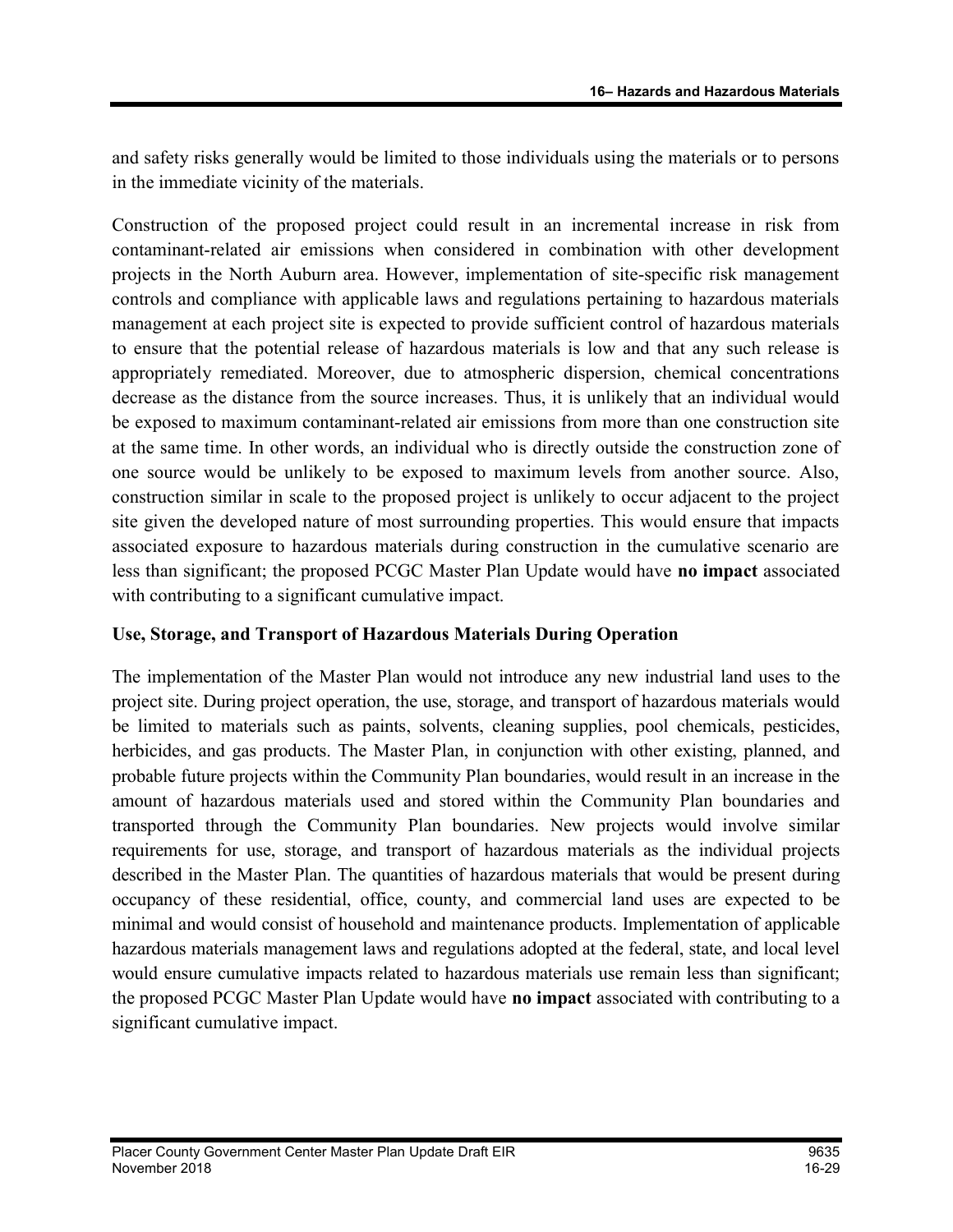and safety risks generally would be limited to those individuals using the materials or to persons in the immediate vicinity of the materials.

Construction of the proposed project could result in an incremental increase in risk from contaminant-related air emissions when considered in combination with other development projects in the North Auburn area. However, implementation of site-specific risk management controls and compliance with applicable laws and regulations pertaining to hazardous materials management at each project site is expected to provide sufficient control of hazardous materials to ensure that the potential release of hazardous materials is low and that any such release is appropriately remediated. Moreover, due to atmospheric dispersion, chemical concentrations decrease as the distance from the source increases. Thus, it is unlikely that an individual would be exposed to maximum contaminant-related air emissions from more than one construction site at the same time. In other words, an individual who is directly outside the construction zone of one source would be unlikely to be exposed to maximum levels from another source. Also, construction similar in scale to the proposed project is unlikely to occur adjacent to the project site given the developed nature of most surrounding properties. This would ensure that impacts associated exposure to hazardous materials during construction in the cumulative scenario are less than significant; the proposed PCGC Master Plan Update would have no impact associated with contributing to a significant cumulative impact.

#### Use, Storage, and Transport of Hazardous Materials During Operation

The implementation of the Master Plan would not introduce any new industrial land uses to the project site. During project operation, the use, storage, and transport of hazardous materials would be limited to materials such as paints, solvents, cleaning supplies, pool chemicals, pesticides, herbicides, and gas products. The Master Plan, in conjunction with other existing, planned, and probable future projects within the Community Plan boundaries, would result in an increase in the amount of hazardous materials used and stored within the Community Plan boundaries and transported through the Community Plan boundaries. New projects would involve similar requirements for use, storage, and transport of hazardous materials as the individual projects described in the Master Plan. The quantities of hazardous materials that would be present during occupancy of these residential, office, county, and commercial land uses are expected to be minimal and would consist of household and maintenance products. Implementation of applicable hazardous materials management laws and regulations adopted at the federal, state, and local level would ensure cumulative impacts related to hazardous materials use remain less than significant; the proposed PCGC Master Plan Update would have no impact associated with contributing to a significant cumulative impact.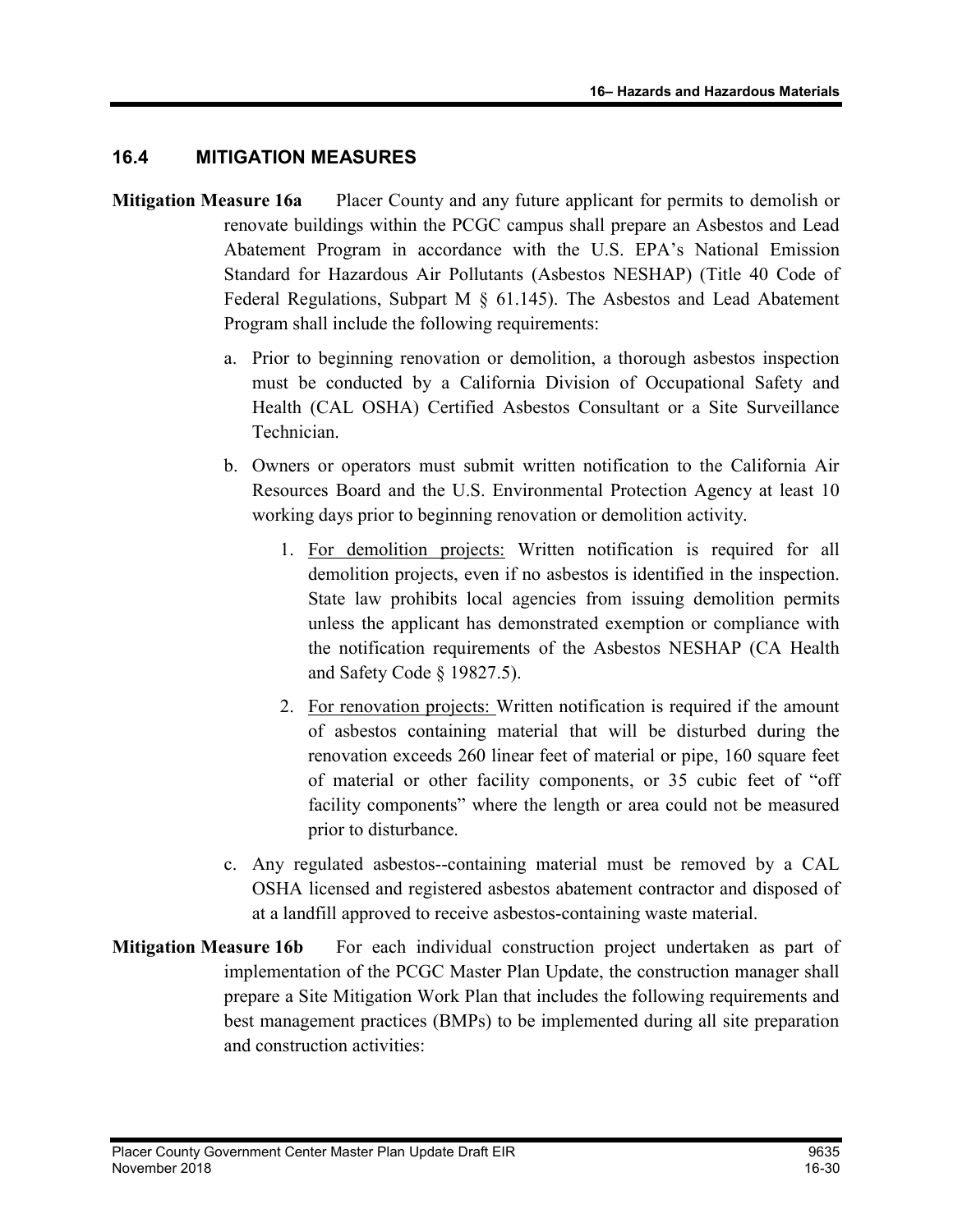## 16.4 MITIGATION MEASURES

- **Mitigation Measure 16a** Placer County and any future applicant for permits to demolish or renovate buildings within the PCGC campus shall prepare an Asbestos and Lead Abatement Program in accordance with the U.S. EPA's National Emission Standard for Hazardous Air Pollutants (Asbestos NESHAP) (Title 40 Code of Federal Regulations, Subpart M  $\S$  61.145). The Asbestos and Lead Abatement Program shall include the following requirements:
	- a. Prior to beginning renovation or demolition, a thorough asbestos inspection must be conducted by a California Division of Occupational Safety and Health (CAL OSHA) Certified Asbestos Consultant or a Site Surveillance Technician.
	- b. Owners or operators must submit written notification to the California Air Resources Board and the U.S. Environmental Protection Agency at least 10 working days prior to beginning renovation or demolition activity.
		- 1. For demolition projects: Written notification is required for all demolition projects, even if no asbestos is identified in the inspection. State law prohibits local agencies from issuing demolition permits unless the applicant has demonstrated exemption or compliance with the notification requirements of the Asbestos NESHAP (CA Health and Safety Code § 19827.5).
		- 2. For renovation projects: Written notification is required if the amount of asbestos containing material that will be disturbed during the renovation exceeds 260 linear feet of material or pipe, 160 square feet of material or other facility components, or 35 cubic feet of "off facility components" where the length or area could not be measured prior to disturbance.
	- c. Any regulated asbestos--containing material must be removed by a CAL OSHA licensed and registered asbestos abatement contractor and disposed of at a landfill approved to receive asbestos-containing waste material.
- **Mitigation Measure 16b** For each individual construction project undertaken as part of implementation of the PCGC Master Plan Update, the construction manager shall prepare a Site Mitigation Work Plan that includes the following requirements and best management practices (BMPs) to be implemented during all site preparation and construction activities: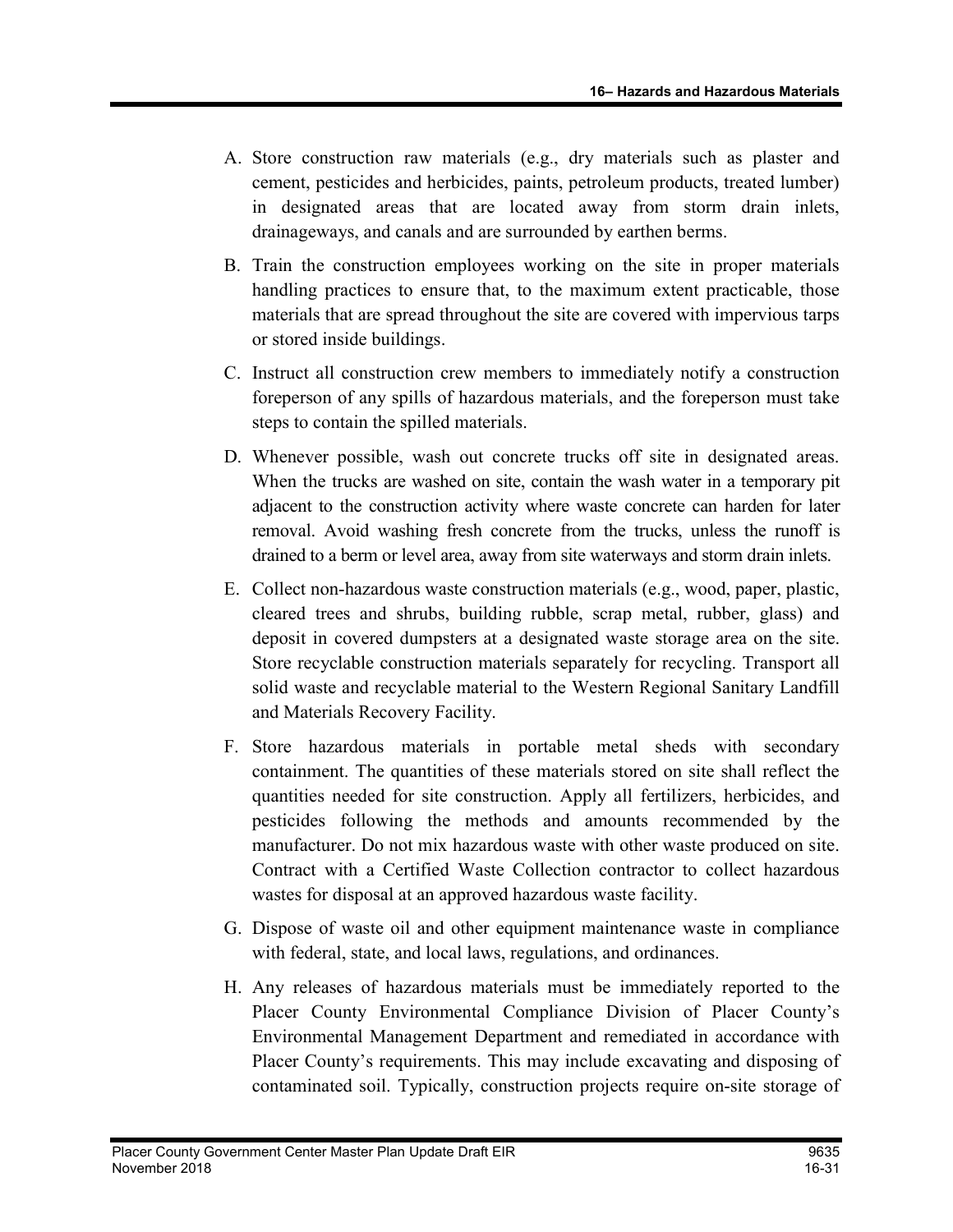- A. Store construction raw materials (e.g., dry materials such as plaster and cement, pesticides and herbicides, paints, petroleum products, treated lumber) in designated areas that are located away from storm drain inlets, drainageways, and canals and are surrounded by earthen berms.
- B. Train the construction employees working on the site in proper materials handling practices to ensure that, to the maximum extent practicable, those materials that are spread throughout the site are covered with impervious tarps or stored inside buildings.
- C. Instruct all construction crew members to immediately notify a construction foreperson of any spills of hazardous materials, and the foreperson must take steps to contain the spilled materials.
- D. Whenever possible, wash out concrete trucks off site in designated areas. When the trucks are washed on site, contain the wash water in a temporary pit adjacent to the construction activity where waste concrete can harden for later removal. Avoid washing fresh concrete from the trucks, unless the runoff is drained to a berm or level area, away from site waterways and storm drain inlets.
- E. Collect non-hazardous waste construction materials (e.g., wood, paper, plastic, cleared trees and shrubs, building rubble, scrap metal, rubber, glass) and deposit in covered dumpsters at a designated waste storage area on the site. Store recyclable construction materials separately for recycling. Transport all solid waste and recyclable material to the Western Regional Sanitary Landfill and Materials Recovery Facility.
- F. Store hazardous materials in portable metal sheds with secondary containment. The quantities of these materials stored on site shall reflect the quantities needed for site construction. Apply all fertilizers, herbicides, and pesticides following the methods and amounts recommended by the manufacturer. Do not mix hazardous waste with other waste produced on site. Contract with a Certified Waste Collection contractor to collect hazardous wastes for disposal at an approved hazardous waste facility.
- G. Dispose of waste oil and other equipment maintenance waste in compliance with federal, state, and local laws, regulations, and ordinances.
- H. Any releases of hazardous materials must be immediately reported to the Placer County Environmental Compliance Division of Placer County's Environmental Management Department and remediated in accordance with Placer County's requirements. This may include excavating and disposing of contaminated soil. Typically, construction projects require on-site storage of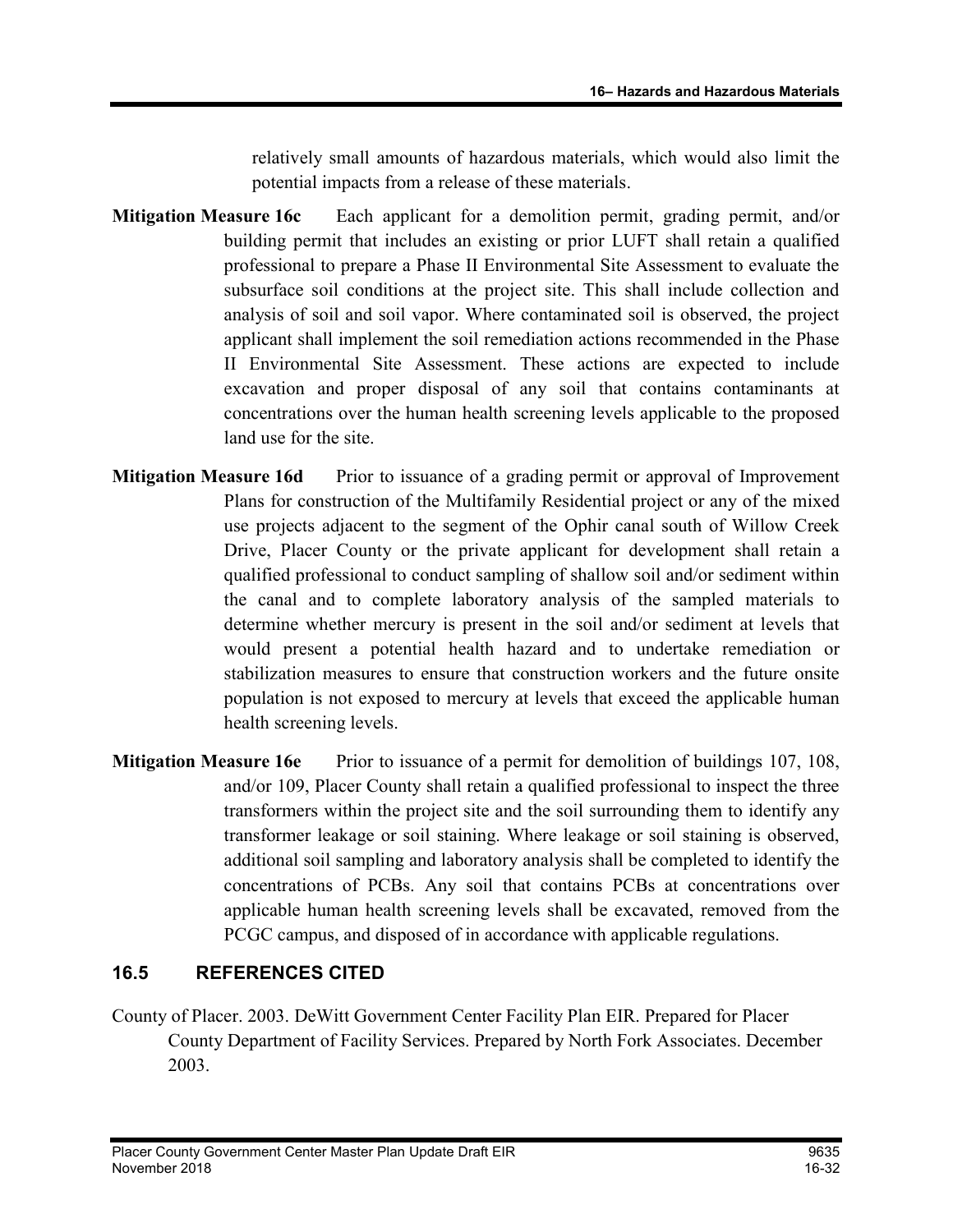relatively small amounts of hazardous materials, which would also limit the potential impacts from a release of these materials.

- Mitigation Measure 16c Each applicant for a demolition permit, grading permit, and/or building permit that includes an existing or prior LUFT shall retain a qualified professional to prepare a Phase II Environmental Site Assessment to evaluate the subsurface soil conditions at the project site. This shall include collection and analysis of soil and soil vapor. Where contaminated soil is observed, the project applicant shall implement the soil remediation actions recommended in the Phase II Environmental Site Assessment. These actions are expected to include excavation and proper disposal of any soil that contains contaminants at concentrations over the human health screening levels applicable to the proposed land use for the site.
- **Mitigation Measure 16d** Prior to issuance of a grading permit or approval of Improvement Plans for construction of the Multifamily Residential project or any of the mixed use projects adjacent to the segment of the Ophir canal south of Willow Creek Drive, Placer County or the private applicant for development shall retain a qualified professional to conduct sampling of shallow soil and/or sediment within the canal and to complete laboratory analysis of the sampled materials to determine whether mercury is present in the soil and/or sediment at levels that would present a potential health hazard and to undertake remediation or stabilization measures to ensure that construction workers and the future onsite population is not exposed to mercury at levels that exceed the applicable human health screening levels.
- Mitigation Measure 16e Prior to issuance of a permit for demolition of buildings 107, 108, and/or 109, Placer County shall retain a qualified professional to inspect the three transformers within the project site and the soil surrounding them to identify any transformer leakage or soil staining. Where leakage or soil staining is observed, additional soil sampling and laboratory analysis shall be completed to identify the concentrations of PCBs. Any soil that contains PCBs at concentrations over applicable human health screening levels shall be excavated, removed from the PCGC campus, and disposed of in accordance with applicable regulations.

## 16.5 REFERENCES CITED

County of Placer. 2003. DeWitt Government Center Facility Plan EIR. Prepared for Placer County Department of Facility Services. Prepared by North Fork Associates. December 2003.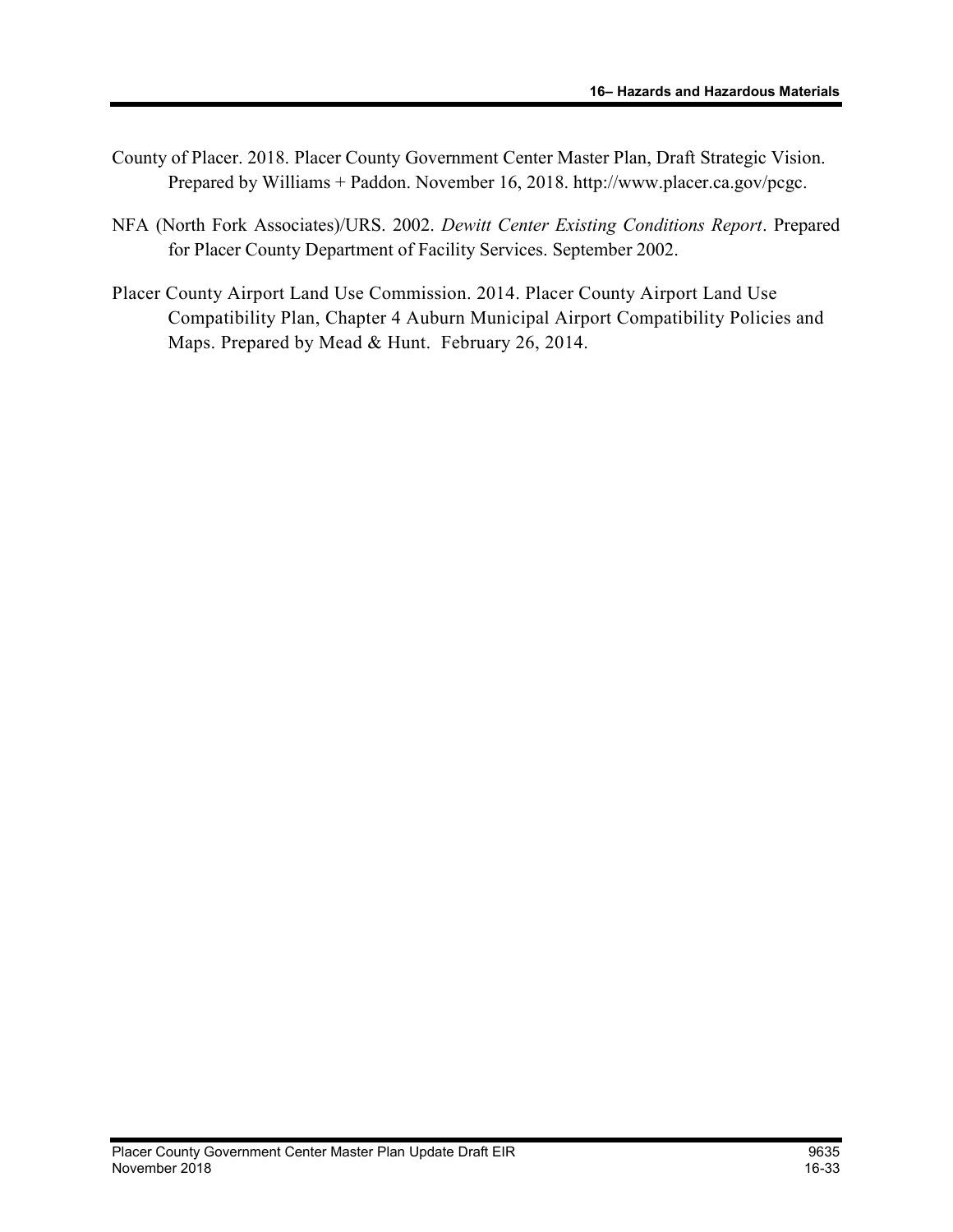- County of Placer. 2018. Placer County Government Center Master Plan, Draft Strategic Vision. Prepared by Williams + Paddon. November 16, 2018. http://www.placer.ca.gov/pcgc.
- NFA (North Fork Associates)/URS. 2002. Dewitt Center Existing Conditions Report. Prepared for Placer County Department of Facility Services. September 2002.
- Placer County Airport Land Use Commission. 2014. Placer County Airport Land Use Compatibility Plan, Chapter 4 Auburn Municipal Airport Compatibility Policies and Maps. Prepared by Mead & Hunt. February 26, 2014.